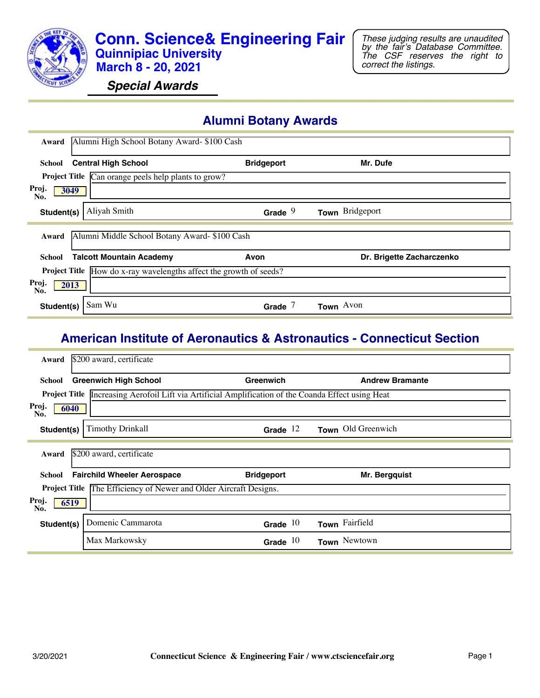

*Special Awards*

## **Alumni Botany Awards**

| Award        | Alumni High School Botany Award- \$100 Cash                               |                   |                           |
|--------------|---------------------------------------------------------------------------|-------------------|---------------------------|
| School       | <b>Central High School</b>                                                | <b>Bridgeport</b> | Mr. Dufe                  |
|              | <b>Project Title</b> Can orange peels help plants to grow?                |                   |                           |
| Proj.<br>No. | 3049                                                                      |                   |                           |
| Student(s)   | Aliyah Smith                                                              | Grade $9$         | Town Bridgeport           |
|              |                                                                           |                   |                           |
| Award        | Alumni Middle School Botany Award- \$100 Cash                             |                   |                           |
| School       | <b>Talcott Mountain Academy</b>                                           | Avon              | Dr. Brigette Zacharczenko |
|              | <b>Project Title</b> How do x-ray wavelengths affect the growth of seeds? |                   |                           |
| Proj.<br>No. | 2013                                                                      |                   |                           |
| Student(s)   | Sam Wu                                                                    | Grade             | Town Avon                 |

#### **American Institute of Aeronautics & Astronautics - Connecticut Section**

| Award                | \$200 award, certificate                                                                                   |                   |                        |
|----------------------|------------------------------------------------------------------------------------------------------------|-------------------|------------------------|
| <b>School</b>        | <b>Greenwich High School</b>                                                                               | Greenwich         | <b>Andrew Bramante</b> |
|                      | <b>Project Title</b> Increasing Aerofoil Lift via Artificial Amplification of the Coanda Effect using Heat |                   |                        |
| Proj.<br>6040<br>No. |                                                                                                            |                   |                        |
| Student(s)           | <b>Timothy Drinkall</b>                                                                                    | Grade $12$        | Town Old Greenwich     |
| Award                | \$200 award, certificate                                                                                   |                   |                        |
| School               | <b>Fairchild Wheeler Aerospace</b>                                                                         | <b>Bridgeport</b> | Mr. Bergquist          |
|                      | <b>Project Title The Efficiency of Newer and Older Aircraft Designs.</b>                                   |                   |                        |
| Proj.<br>6519<br>No. |                                                                                                            |                   |                        |
| Student(s)           | Domenic Cammarota                                                                                          | Grade $10$        | Town Fairfield         |
|                      | Max Markowsky                                                                                              | Grade $10$        | Town Newtown           |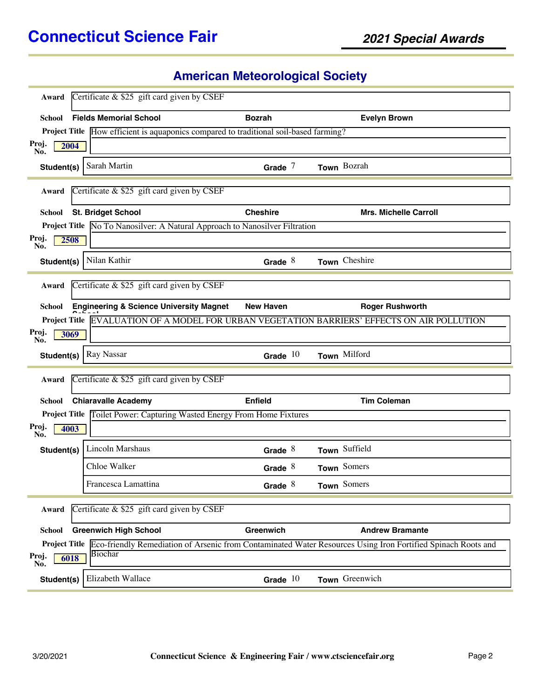# **American Meteorological Society**

| Award                | Certificate & \$25 gift card given by CSEF                                            |                  |                                                                                                                                   |
|----------------------|---------------------------------------------------------------------------------------|------------------|-----------------------------------------------------------------------------------------------------------------------------------|
| School               | <b>Fields Memorial School</b>                                                         | <b>Bozrah</b>    | <b>Evelyn Brown</b>                                                                                                               |
|                      | Project Title How efficient is aquaponics compared to traditional soil-based farming? |                  |                                                                                                                                   |
| Proj.<br>2004<br>No. |                                                                                       |                  |                                                                                                                                   |
| Student(s)           | Sarah Martin                                                                          | Grade $7$        | Town Bozrah                                                                                                                       |
| Award                | Certificate & \$25 gift card given by CSEF                                            |                  |                                                                                                                                   |
| <b>School</b>        | <b>St. Bridget School</b>                                                             | <b>Cheshire</b>  | <b>Mrs. Michelle Carroll</b>                                                                                                      |
|                      | Project Title No To Nanosilver: A Natural Approach to Nanosilver Filtration           |                  |                                                                                                                                   |
| Proj.<br>2508<br>No. |                                                                                       |                  |                                                                                                                                   |
| Student(s)           | Nilan Kathir                                                                          | Grade $8$        | Town Cheshire                                                                                                                     |
| Award                | Certificate $&$ \$25 gift card given by CSEF                                          |                  |                                                                                                                                   |
| <b>School</b>        | <b>Engineering &amp; Science University Magnet</b>                                    | <b>New Haven</b> | <b>Roger Rushworth</b>                                                                                                            |
|                      |                                                                                       |                  | Project Title EVALUATION OF A MODEL FOR URBAN VEGETATION BARRIERS' EFFECTS ON AIR POLLUTION                                       |
| Proj.<br>3069<br>No. |                                                                                       |                  |                                                                                                                                   |
| Student(s)           | Ray Nassar                                                                            | Grade $10$       | Town Milford                                                                                                                      |
| Award                | Certificate & \$25 gift card given by CSEF                                            |                  |                                                                                                                                   |
| <b>School</b>        | <b>Chiaravalle Academy</b>                                                            | <b>Enfield</b>   | <b>Tim Coleman</b>                                                                                                                |
|                      | Project Title Toilet Power: Capturing Wasted Energy From Home Fixtures                |                  |                                                                                                                                   |
| Proj.<br>4003<br>No. |                                                                                       |                  |                                                                                                                                   |
| Student(s)           | Lincoln Marshaus                                                                      | Grade $8$        | Town Suffield                                                                                                                     |
|                      | Chloe Walker                                                                          | Grade $8$        | Town Somers                                                                                                                       |
|                      | Francesca Lamattina                                                                   | Grade $8$        | Town Somers                                                                                                                       |
| Award                | Certificate $\&$ \$25 gift card given by CSEF                                         |                  |                                                                                                                                   |
| <b>School</b>        | <b>Greenwich High School</b>                                                          | Greenwich        | <b>Andrew Bramante</b>                                                                                                            |
|                      |                                                                                       |                  | <b>Project Title</b> Eco-friendly Remediation of Arsenic from Contaminated Water Resources Using Iron Fortified Spinach Roots and |
| Proj.<br>6018<br>No. | Biochar                                                                               |                  |                                                                                                                                   |
| Student(s)           | Elizabeth Wallace                                                                     | Grade $10$       | Town Greenwich                                                                                                                    |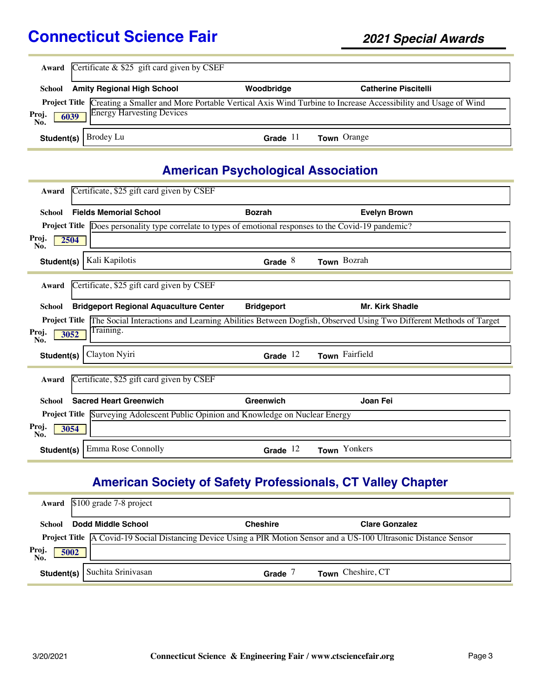|                      | <b>Award</b> Certificate $&$ \$25 gift card given by CSEF |            |                                                                                                                           |  |  |
|----------------------|-----------------------------------------------------------|------------|---------------------------------------------------------------------------------------------------------------------------|--|--|
| School               | <b>Amity Regional High School</b>                         | Woodbridge | <b>Catherine Piscitelli</b>                                                                                               |  |  |
| Proj.<br>No.<br>6039 | <b>Energy Harvesting Devices</b>                          |            | Project Title Creating a Smaller and More Portable Vertical Axis Wind Turbine to Increase Accessibility and Usage of Wind |  |  |
|                      | <b>Student(s)</b> $\vert$ Brodey Lu                       | Grade $11$ | <b>Town</b> Orange                                                                                                        |  |  |

# **American Psychological Association**

| Award         | Certificate, \$25 gift card given by CSEF                                                               |                   |                                                                                                                                     |
|---------------|---------------------------------------------------------------------------------------------------------|-------------------|-------------------------------------------------------------------------------------------------------------------------------------|
| <b>School</b> | <b>Fields Memorial School</b>                                                                           | <b>Bozrah</b>     | <b>Evelyn Brown</b>                                                                                                                 |
|               | Project Title Does personality type correlate to types of emotional responses to the Covid-19 pandemic? |                   |                                                                                                                                     |
| Proj.<br>No.  | 2504                                                                                                    |                   |                                                                                                                                     |
| Student(s)    | Kali Kapilotis                                                                                          | Grade $8$         | Town Bozrah                                                                                                                         |
| Award         | Certificate, \$25 gift card given by CSEF                                                               |                   |                                                                                                                                     |
|               |                                                                                                         |                   |                                                                                                                                     |
| School        | <b>Bridgeport Regional Aquaculture Center</b>                                                           | <b>Bridgeport</b> | <b>Mr. Kirk Shadle</b>                                                                                                              |
|               |                                                                                                         |                   | <b>Project Title</b> The Social Interactions and Learning Abilities Between Dogfish, Observed Using Two Different Methods of Target |
| Proj.<br>No.  | Training.<br>3052                                                                                       |                   |                                                                                                                                     |
| Student(s)    | Clayton Nyiri                                                                                           | Grade $12$        | Town Fairfield                                                                                                                      |
| Award         | Certificate, \$25 gift card given by CSEF                                                               |                   |                                                                                                                                     |
| <b>School</b> | <b>Sacred Heart Greenwich</b>                                                                           | Greenwich         | Joan Fei                                                                                                                            |
|               | <b>Project Title</b> Surveying Adolescent Public Opinion and Knowledge on Nuclear Energy                |                   |                                                                                                                                     |
| Proj.<br>No.  | 3054                                                                                                    |                   |                                                                                                                                     |
| Student(s)    | Emma Rose Connolly                                                                                      | Grade $12$        | Town Yonkers                                                                                                                        |

# **American Society of Safety Professionals, CT Valley Chapter**

|                      | Award \$100 grade 7-8 project |                                                                                                                            |                       |
|----------------------|-------------------------------|----------------------------------------------------------------------------------------------------------------------------|-----------------------|
| School               | Dodd Middle School            | <b>Cheshire</b>                                                                                                            | <b>Clare Gonzalez</b> |
|                      |                               | <b>Project Title</b> A Covid-19 Social Distancing Device Using a PIR Motion Sensor and a US-100 Ultrasonic Distance Sensor |                       |
| Proj.<br>No.<br>5002 |                               |                                                                                                                            |                       |
| Student(s)           | Suchita Srinivasan            | Grade                                                                                                                      | Town Cheshire, CT     |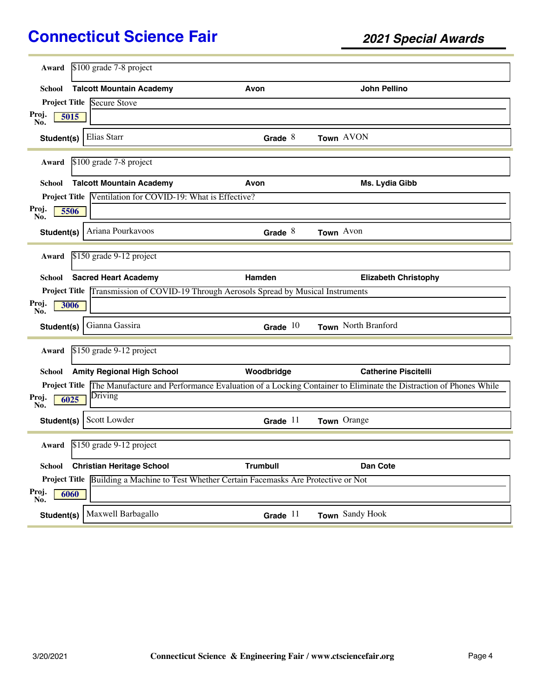| Award                | \$100 grade 7-8 project                      |                                                                                          |                                                                                                                                     |  |
|----------------------|----------------------------------------------|------------------------------------------------------------------------------------------|-------------------------------------------------------------------------------------------------------------------------------------|--|
|                      |                                              |                                                                                          |                                                                                                                                     |  |
| School               | <b>Talcott Mountain Academy</b>              | Avon                                                                                     | <b>John Pellino</b>                                                                                                                 |  |
|                      | <b>Project Title Secure Stove</b>            |                                                                                          |                                                                                                                                     |  |
| Proj.<br>5015<br>No. |                                              |                                                                                          |                                                                                                                                     |  |
| Student(s)           | Elias Starr                                  | Grade $8$                                                                                | Town AVON                                                                                                                           |  |
| Award                | \$100 grade 7-8 project                      |                                                                                          |                                                                                                                                     |  |
| School               | <b>Talcott Mountain Academy</b>              | Avon                                                                                     | Ms. Lydia Gibb                                                                                                                      |  |
| <b>Project Title</b> | Ventilation for COVID-19: What is Effective? |                                                                                          |                                                                                                                                     |  |
| Proj.<br>5506<br>No. |                                              |                                                                                          |                                                                                                                                     |  |
| Student(s)           | Ariana Pourkavoos                            | Grade $8$                                                                                | Town Avon                                                                                                                           |  |
| Award                | \$150 grade 9-12 project                     |                                                                                          |                                                                                                                                     |  |
|                      |                                              |                                                                                          |                                                                                                                                     |  |
| <b>School</b>        | <b>Sacred Heart Academy</b>                  | Hamden                                                                                   | <b>Elizabeth Christophy</b>                                                                                                         |  |
|                      |                                              | Project Title Transmission of COVID-19 Through Aerosols Spread by Musical Instruments    |                                                                                                                                     |  |
| Proj.<br>3006<br>No. |                                              |                                                                                          |                                                                                                                                     |  |
| Student(s)           | Gianna Gassira                               | Grade $10$                                                                               | Town North Branford                                                                                                                 |  |
| Award                | \$150 grade 9-12 project                     |                                                                                          |                                                                                                                                     |  |
| School               | <b>Amity Regional High School</b>            | Woodbridge                                                                               | <b>Catherine Piscitelli</b>                                                                                                         |  |
|                      |                                              |                                                                                          | <b>Project Title</b> The Manufacture and Performance Evaluation of a Locking Container to Eliminate the Distraction of Phones While |  |
| Proj.<br>No.<br>6025 | Driving                                      |                                                                                          |                                                                                                                                     |  |
| Student(s)           | Scott Lowder                                 | Grade $11$                                                                               | Town Orange                                                                                                                         |  |
| Award                | \$150 grade 9-12 project                     |                                                                                          |                                                                                                                                     |  |
| <b>School</b>        | <b>Christian Heritage School</b>             | <b>Trumbull</b>                                                                          | Dan Cote                                                                                                                            |  |
|                      |                                              | Project Title Building a Machine to Test Whether Certain Facemasks Are Protective or Not |                                                                                                                                     |  |
| Proj.<br>6060<br>No. |                                              |                                                                                          |                                                                                                                                     |  |
| Student(s)           | Maxwell Barbagallo                           | Grade $11$                                                                               | Town Sandy Hook                                                                                                                     |  |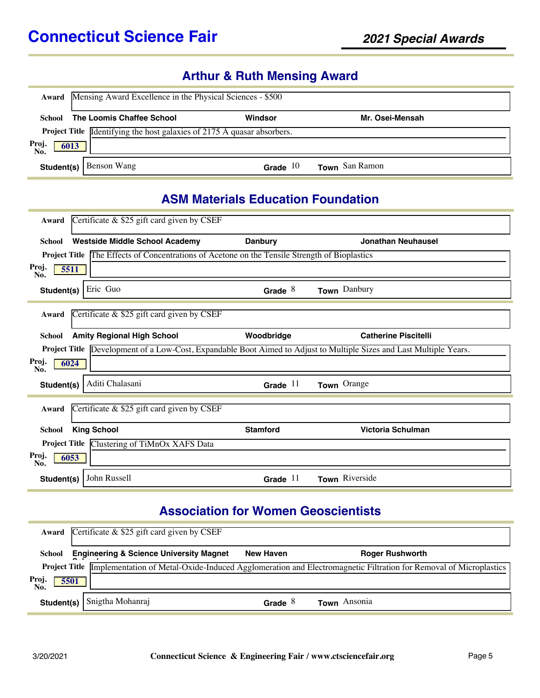# **Arthur & Ruth Mensing Award**

| Award                | Mensing Award Excellence in the Physical Sciences - \$500                      |            |                 |  |  |
|----------------------|--------------------------------------------------------------------------------|------------|-----------------|--|--|
| School               | The Loomis Chaffee School                                                      | Windsor    | Mr. Osei-Mensah |  |  |
|                      | <b>Project Title</b> Identifying the host galaxies of 2175 Å quasar absorbers. |            |                 |  |  |
| Proj.<br>No.<br>6013 |                                                                                |            |                 |  |  |
| Student(s)           | Benson Wang                                                                    | Grade $10$ | Town San Ramon  |  |  |

#### **ASM Materials Education Foundation**

| Award         | Certificate & \$25 gift card given by CSEF                                                                                 |                 |                             |
|---------------|----------------------------------------------------------------------------------------------------------------------------|-----------------|-----------------------------|
| <b>School</b> | <b>Westside Middle School Academy</b>                                                                                      | <b>Danbury</b>  | <b>Jonathan Neuhausel</b>   |
|               | <b>Project Title The Effects of Concentrations of Acetone on the Tensile Strength of Bioplastics</b>                       |                 |                             |
| Proj.<br>No.  | 5511                                                                                                                       |                 |                             |
| Student(s)    | Eric Guo                                                                                                                   | Grade $8$       | Town Danbury                |
|               |                                                                                                                            |                 |                             |
| Award         | Certificate $\&$ \$25 gift card given by CSEF                                                                              |                 |                             |
| School        | <b>Amity Regional High School</b>                                                                                          | Woodbridge      | <b>Catherine Piscitelli</b> |
|               | <b>Project Title</b> Development of a Low-Cost, Expandable Boot Aimed to Adjust to Multiple Sizes and Last Multiple Years. |                 |                             |
| Proj.<br>No.  | 6024                                                                                                                       |                 |                             |
| Student(s)    | Aditi Chalasani                                                                                                            | Grade $11$      | Town Orange                 |
|               |                                                                                                                            |                 |                             |
| Award         | Certificate $\&$ \$25 gift card given by CSEF                                                                              |                 |                             |
| <b>School</b> | <b>King School</b>                                                                                                         | <b>Stamford</b> | Victoria Schulman           |
|               | Project Title Clustering of TiMnOx XAFS Data                                                                               |                 |                             |
| Proj.<br>No.  | 6053                                                                                                                       |                 |                             |
| Student(s)    | John Russell                                                                                                               | Grade $11$      | Town Riverside              |

## **Association for Women Geoscientists**

| Award                | Certificate $\&$ \$25 gift card given by CSEF      |           |                                                                                                                                      |
|----------------------|----------------------------------------------------|-----------|--------------------------------------------------------------------------------------------------------------------------------------|
| School               | <b>Engineering &amp; Science University Magnet</b> | New Haven | <b>Roger Rushworth</b>                                                                                                               |
|                      |                                                    |           | <b>Project Title</b> Implementation of Metal-Oxide-Induced Agglomeration and Electromagnetic Filtration for Removal of Microplastics |
| Proj.<br>No.<br>5501 |                                                    |           |                                                                                                                                      |
| Student(s)           | Snigtha Mohanraj                                   | Grade $8$ | Town Ansonia                                                                                                                         |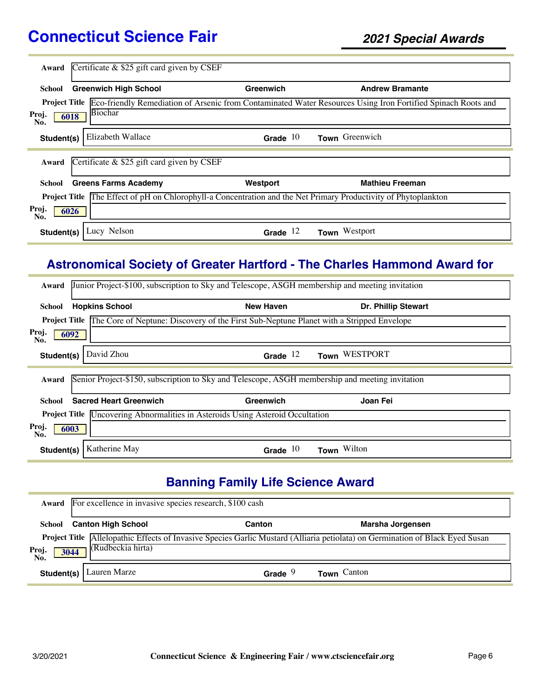| Award                | Certificate $\&$ \$25 gift card given by CSEF                                                     |            |                                                                                                                            |
|----------------------|---------------------------------------------------------------------------------------------------|------------|----------------------------------------------------------------------------------------------------------------------------|
|                      |                                                                                                   |            |                                                                                                                            |
| School               | <b>Greenwich High School</b>                                                                      | Greenwich  | <b>Andrew Bramante</b>                                                                                                     |
|                      |                                                                                                   |            | Project Title Eco-friendly Remediation of Arsenic from Contaminated Water Resources Using Iron Fortified Spinach Roots and |
| Proj.<br>6018<br>No. | Biochar                                                                                           |            |                                                                                                                            |
| Student(s)           | Elizabeth Wallace                                                                                 | Grade $10$ | Town Greenwich                                                                                                             |
| Award                | Certificate $&$ \$25 gift card given by CSEF                                                      |            |                                                                                                                            |
| School               | <b>Greens Farms Academy</b>                                                                       | Westport   | <b>Mathieu Freeman</b>                                                                                                     |
| <b>Project Title</b> | The Effect of pH on Chlorophyll-a Concentration and the Net Primary Productivity of Phytoplankton |            |                                                                                                                            |
| Proj.<br>6026<br>No. |                                                                                                   |            |                                                                                                                            |
| Student(s)           | Lucy Nelson                                                                                       | Grade $12$ | Westport<br><b>Town</b>                                                                                                    |

## **Astronomical Society of Greater Hartford - The Charles Hammond Award for**

| Award                | Junior Project-\$100, subscription to Sky and Telescope, ASGH membership and meeting invitation |                                                                                                              |                     |  |  |
|----------------------|-------------------------------------------------------------------------------------------------|--------------------------------------------------------------------------------------------------------------|---------------------|--|--|
| School               | <b>Hopkins School</b>                                                                           | <b>New Haven</b>                                                                                             | Dr. Phillip Stewart |  |  |
|                      |                                                                                                 | <b>Project Title The Core of Neptune: Discovery of the First Sub-Neptune Planet with a Stripped Envelope</b> |                     |  |  |
| Proj.<br>6092<br>No. |                                                                                                 |                                                                                                              |                     |  |  |
| Student(s)           | David Zhou                                                                                      | Grade $12$                                                                                                   | Town WESTPORT       |  |  |
| Award                | Senior Project-\$150, subscription to Sky and Telescope, ASGH membership and meeting invitation |                                                                                                              |                     |  |  |
| School               | <b>Sacred Heart Greenwich</b>                                                                   | Greenwich                                                                                                    | Joan Fei            |  |  |
|                      | <b>Project Title</b> Uncovering Abnormalities in Asteroids Using Asteroid Occultation           |                                                                                                              |                     |  |  |
| Proj.<br>6003<br>No. |                                                                                                 |                                                                                                              |                     |  |  |
|                      | Katherine May<br>Student(s)                                                                     | Grade $10$                                                                                                   | Town Wilton         |  |  |

# **Banning Family Life Science Award**

|                     | Award For excellence in invasive species research, \$100 cash |           |                                                                                                                               |  |  |
|---------------------|---------------------------------------------------------------|-----------|-------------------------------------------------------------------------------------------------------------------------------|--|--|
| School              | <b>Canton High School</b><br>Marsha Jorgensen<br>Canton       |           |                                                                                                                               |  |  |
| Proj<br>3044<br>No. | (Rudbeckia hirta)                                             |           | Project Title Allelopathic Effects of Invasive Species Garlic Mustard (Alliaria petiolata) on Germination of Black Eyed Susan |  |  |
| Student(s)          | Lauren Marze                                                  | Grade $9$ | <b>Town</b> Canton                                                                                                            |  |  |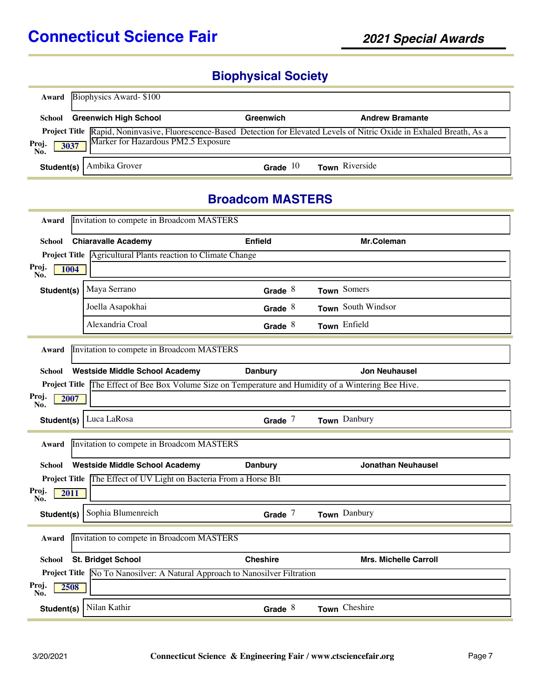# **Biophysical Society**

|                      | <b>Award</b> Biophysics Award-\$100 |            |                                                                                                                                   |
|----------------------|-------------------------------------|------------|-----------------------------------------------------------------------------------------------------------------------------------|
| School               | <b>Greenwich High School</b>        | Greenwich  | <b>Andrew Bramante</b>                                                                                                            |
| Proj.<br>No.<br>3037 | Marker for Hazardous PM2.5 Exposure |            | <b>Project Title</b> Rapid, Noninvasive, Fluorescence-Based Detection for Elevated Levels of Nitric Oxide in Exhaled Breath, As a |
| Student(s)           | Ambika Grover                       | Grade $10$ | Town Riverside                                                                                                                    |

#### **Broadcom MASTERS**

| Invitation to compete in Broadcom MASTERS<br>Award |                                                                                                      |                 |                              |  |
|----------------------------------------------------|------------------------------------------------------------------------------------------------------|-----------------|------------------------------|--|
| School                                             | <b>Chiaravalle Academy</b>                                                                           | <b>Enfield</b>  | Mr.Coleman                   |  |
|                                                    | Project Title Agricultural Plants reaction to Climate Change                                         |                 |                              |  |
| Proj.<br>1004<br>No.                               |                                                                                                      |                 |                              |  |
| Student(s)                                         | Maya Serrano                                                                                         | Grade $8$       | Town Somers                  |  |
|                                                    | Joella Asapokhai                                                                                     | Grade $8$       | Town South Windsor           |  |
|                                                    | Alexandria Croal                                                                                     | Grade $8$       | Town Enfield                 |  |
| Award                                              | Invitation to compete in Broadcom MASTERS                                                            |                 |                              |  |
| School                                             | <b>Westside Middle School Academy</b>                                                                | <b>Danbury</b>  | <b>Jon Neuhausel</b>         |  |
|                                                    | Project Title The Effect of Bee Box Volume Size on Temperature and Humidity of a Wintering Bee Hive. |                 |                              |  |
| Proj.<br>2007<br>No.                               |                                                                                                      |                 |                              |  |
| Student(s)                                         | Luca LaRosa                                                                                          | Grade $7$       | Town Danbury                 |  |
| Award                                              | Invitation to compete in Broadcom MASTERS                                                            |                 |                              |  |
| School                                             | <b>Westside Middle School Academy</b>                                                                | <b>Danbury</b>  | <b>Jonathan Neuhausel</b>    |  |
|                                                    | Project Title The Effect of UV Light on Bacteria From a Horse BIt                                    |                 |                              |  |
| Proj.<br>2011<br>No.                               |                                                                                                      |                 |                              |  |
| Student(s)                                         | Sophia Blumenreich                                                                                   | Grade $7$       | Town Danbury                 |  |
| Invitation to compete in Broadcom MASTERS<br>Award |                                                                                                      |                 |                              |  |
| School                                             | <b>St. Bridget School</b>                                                                            | <b>Cheshire</b> | <b>Mrs. Michelle Carroll</b> |  |
|                                                    | Project Title No To Nanosilver: A Natural Approach to Nanosilver Filtration                          |                 |                              |  |
| Proj.<br>2508<br>No.                               |                                                                                                      |                 |                              |  |
| Student(s)                                         | Nilan Kathir                                                                                         | Grade $8$       | Town Cheshire                |  |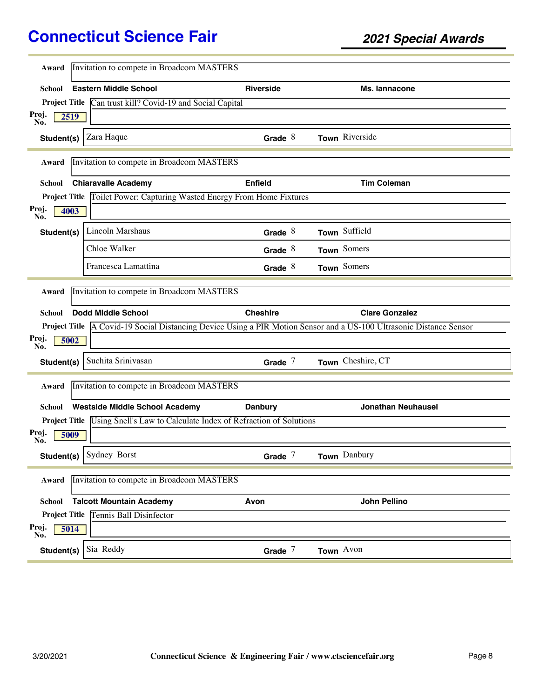| Award                | Invitation to compete in Broadcom MASTERS                                            |                  |                                                                                                                     |  |
|----------------------|--------------------------------------------------------------------------------------|------------------|---------------------------------------------------------------------------------------------------------------------|--|
| School               | <b>Eastern Middle School</b>                                                         | <b>Riverside</b> | Ms. lannacone                                                                                                       |  |
|                      | Project Title Can trust kill? Covid-19 and Social Capital                            |                  |                                                                                                                     |  |
| Proj.<br>2519        |                                                                                      |                  |                                                                                                                     |  |
| No.                  |                                                                                      |                  |                                                                                                                     |  |
| Student(s)           | Zara Haque                                                                           | Grade $8$        | Town Riverside                                                                                                      |  |
| Award                | Invitation to compete in Broadcom MASTERS                                            |                  |                                                                                                                     |  |
| <b>School</b>        | <b>Chiaravalle Academy</b>                                                           | <b>Enfield</b>   | <b>Tim Coleman</b>                                                                                                  |  |
|                      | Project Title Toilet Power: Capturing Wasted Energy From Home Fixtures               |                  |                                                                                                                     |  |
| Proj.<br>4003        |                                                                                      |                  |                                                                                                                     |  |
| No.                  |                                                                                      |                  |                                                                                                                     |  |
| Student(s)           | Lincoln Marshaus                                                                     | Grade $8$        | Town Suffield                                                                                                       |  |
|                      | Chloe Walker                                                                         | Grade $8$        | Town Somers                                                                                                         |  |
|                      | Francesca Lamattina                                                                  | Grade $8$        | Town Somers                                                                                                         |  |
| Award                | Invitation to compete in Broadcom MASTERS                                            |                  |                                                                                                                     |  |
|                      |                                                                                      |                  |                                                                                                                     |  |
|                      |                                                                                      |                  |                                                                                                                     |  |
| <b>School</b>        | <b>Dodd Middle School</b>                                                            | <b>Cheshire</b>  | <b>Clare Gonzalez</b>                                                                                               |  |
|                      |                                                                                      |                  | Project Title A Covid-19 Social Distancing Device Using a PIR Motion Sensor and a US-100 Ultrasonic Distance Sensor |  |
| Proj.<br>5002<br>No. |                                                                                      |                  |                                                                                                                     |  |
| Student(s)           | Suchita Srinivasan                                                                   | Grade $7$        | Town Cheshire, CT                                                                                                   |  |
|                      |                                                                                      |                  |                                                                                                                     |  |
| Award                | Invitation to compete in Broadcom MASTERS                                            |                  |                                                                                                                     |  |
| <b>School</b>        | <b>Westside Middle School Academy</b>                                                | <b>Danbury</b>   | <b>Jonathan Neuhausel</b>                                                                                           |  |
|                      | Project Title <i>Using Snell's Law to Calculate Index of Refraction of Solutions</i> |                  |                                                                                                                     |  |
| Proj.<br>5009<br>No. |                                                                                      |                  |                                                                                                                     |  |
| Student(s)           | Sydney Borst                                                                         | Grade $7$        | Town Danbury                                                                                                        |  |
|                      |                                                                                      |                  |                                                                                                                     |  |
| Award                | Invitation to compete in Broadcom MASTERS                                            |                  |                                                                                                                     |  |
| <b>School</b>        | <b>Talcott Mountain Academy</b>                                                      | Avon             | <b>John Pellino</b>                                                                                                 |  |
|                      | <b>Project Title Tennis Ball Disinfector</b>                                         |                  |                                                                                                                     |  |
| Proj.<br>5014<br>No. |                                                                                      |                  |                                                                                                                     |  |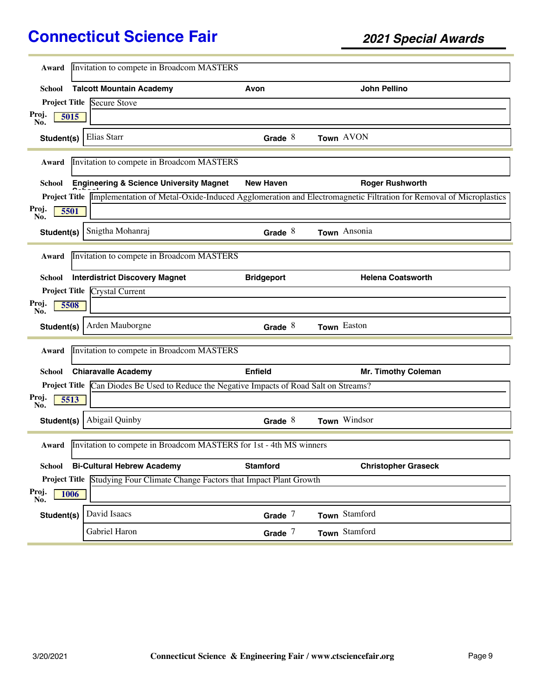| Award                                                                       | Invitation to compete in Broadcom MASTERS                                                |                   |                                                                                                                               |  |
|-----------------------------------------------------------------------------|------------------------------------------------------------------------------------------|-------------------|-------------------------------------------------------------------------------------------------------------------------------|--|
|                                                                             |                                                                                          | Avon              | John Pellino                                                                                                                  |  |
| School                                                                      | <b>Talcott Mountain Academy</b>                                                          |                   |                                                                                                                               |  |
|                                                                             | <b>Project Title Secure Stove</b>                                                        |                   |                                                                                                                               |  |
| Proj.<br>5015<br>No.                                                        |                                                                                          |                   |                                                                                                                               |  |
| Student(s)                                                                  | Elias Starr                                                                              | Grade $8$         | Town AVON                                                                                                                     |  |
| Award                                                                       | Invitation to compete in Broadcom MASTERS                                                |                   |                                                                                                                               |  |
| School                                                                      | <b>Engineering &amp; Science University Magnet</b>                                       | <b>New Haven</b>  | <b>Roger Rushworth</b>                                                                                                        |  |
|                                                                             |                                                                                          |                   | Project Title Implementation of Metal-Oxide-Induced Agglomeration and Electromagnetic Filtration for Removal of Microplastics |  |
| Proj.<br>5501                                                               |                                                                                          |                   |                                                                                                                               |  |
| No.<br>Student(s)                                                           | Snigtha Mohanraj                                                                         | Grade $8$         | Town Ansonia                                                                                                                  |  |
|                                                                             |                                                                                          |                   |                                                                                                                               |  |
| Award                                                                       | Invitation to compete in Broadcom MASTERS                                                |                   |                                                                                                                               |  |
| School                                                                      | <b>Interdistrict Discovery Magnet</b>                                                    | <b>Bridgeport</b> | <b>Helena Coatsworth</b>                                                                                                      |  |
|                                                                             | <b>Project Title Crystal Current</b>                                                     |                   |                                                                                                                               |  |
| Proj.<br>5508<br>No.                                                        |                                                                                          |                   |                                                                                                                               |  |
| Student(s)                                                                  | Arden Mauborgne                                                                          | Grade $8$         | Town Easton                                                                                                                   |  |
| Award                                                                       | Invitation to compete in Broadcom MASTERS                                                |                   |                                                                                                                               |  |
|                                                                             |                                                                                          |                   |                                                                                                                               |  |
| <b>School</b>                                                               | <b>Chiaravalle Academy</b>                                                               | Enfield           | Mr. Timothy Coleman                                                                                                           |  |
|                                                                             | Project Title Can Diodes Be Used to Reduce the Negative Impacts of Road Salt on Streams? |                   |                                                                                                                               |  |
| Proj.<br>5513<br>No.                                                        |                                                                                          |                   |                                                                                                                               |  |
| Student(s)                                                                  | <b>Abigail Quinby</b>                                                                    | Grade $8$         | Town Windsor                                                                                                                  |  |
| Invitation to compete in Broadcom MASTERS for 1st - 4th MS winners<br>Award |                                                                                          |                   |                                                                                                                               |  |
| <b>School</b>                                                               | <b>Bi-Cultural Hebrew Academy</b>                                                        | <b>Stamford</b>   | <b>Christopher Graseck</b>                                                                                                    |  |
|                                                                             | Project Title Studying Four Climate Change Factors that Impact Plant Growth              |                   |                                                                                                                               |  |
| Proj.<br>1006<br>No.                                                        |                                                                                          |                   |                                                                                                                               |  |
| Student(s)                                                                  | David Isaacs                                                                             | Grade $7$         | Town Stamford                                                                                                                 |  |
|                                                                             | Gabriel Haron                                                                            | Grade $7$         | Town Stamford                                                                                                                 |  |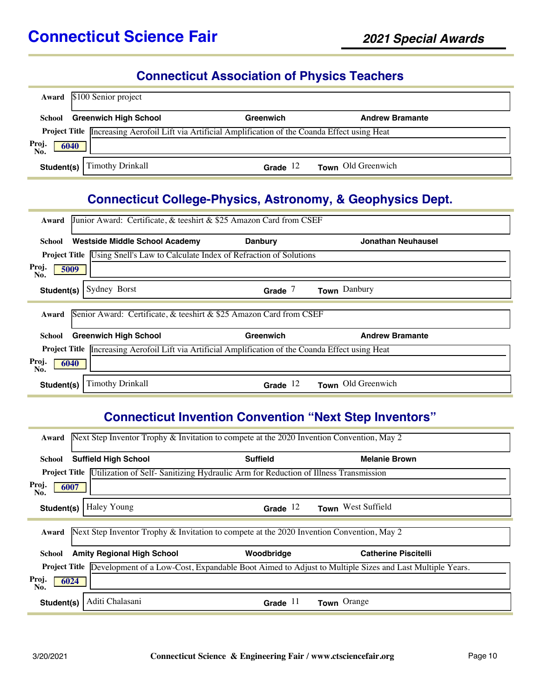# **Connecticut Association of Physics Teachers**

|                      | Award \$100 Senior project                                                                                 |            |                        |
|----------------------|------------------------------------------------------------------------------------------------------------|------------|------------------------|
| School               | <b>Greenwich High School</b>                                                                               | Greenwich  | <b>Andrew Bramante</b> |
|                      | <b>Project Title</b> Increasing Aerofoil Lift via Artificial Amplification of the Coanda Effect using Heat |            |                        |
| Proj.<br>No.<br>6040 |                                                                                                            |            |                        |
| Student(s)           | Timothy Drinkall                                                                                           | Grade $12$ | Town Old Greenwich     |

#### **Connecticut College-Physics, Astronomy, & Geophysics Dept.**

| Junior Award: Certificate, & teeshirt & \$25 Amazon Card from CSEF<br>Award                         |                |                        |  |  |
|-----------------------------------------------------------------------------------------------------|----------------|------------------------|--|--|
| <b>Westside Middle School Academy</b><br>School                                                     | <b>Danbury</b> | Jonathan Neuhausel     |  |  |
| <b>Project Title</b> Using Snell's Law to Calculate Index of Refraction of Solutions                |                |                        |  |  |
| Proj.<br>5009<br>No.                                                                                |                |                        |  |  |
| Sydney Borst<br>Student(s)                                                                          | Grade $7$      | Town Danbury           |  |  |
| Senior Award: Certificate, & teeshirt & \$25 Amazon Card from CSEF<br>Award                         |                |                        |  |  |
|                                                                                                     |                |                        |  |  |
| <b>Greenwich High School</b><br>School                                                              | Greenwich      | <b>Andrew Bramante</b> |  |  |
| Project Title Increasing Aerofoil Lift via Artificial Amplification of the Coanda Effect using Heat |                |                        |  |  |
| Proj.<br>6040<br>No.                                                                                |                |                        |  |  |

# **Connecticut Invention Convention "Next Step Inventors"**

| Next Step Inventor Trophy & Invitation to compete at the 2020 Invention Convention, May 2<br>Award                         |                                                                                           |                             |  |  |
|----------------------------------------------------------------------------------------------------------------------------|-------------------------------------------------------------------------------------------|-----------------------------|--|--|
| <b>Suffield High School</b><br>School                                                                                      | <b>Suffield</b>                                                                           | <b>Melanie Brown</b>        |  |  |
| <b>Project Title</b> Utilization of Self-Sanitizing Hydraulic Arm for Reduction of Illness Transmission                    |                                                                                           |                             |  |  |
| Proj.<br>6007<br>No.                                                                                                       |                                                                                           |                             |  |  |
| Haley Young<br>Student(s)                                                                                                  | Grade $12$                                                                                | Town West Suffield          |  |  |
| Award                                                                                                                      | Next Step Inventor Trophy & Invitation to compete at the 2020 Invention Convention, May 2 |                             |  |  |
| <b>Amity Regional High School</b><br>School                                                                                | Woodbridge                                                                                | <b>Catherine Piscitelli</b> |  |  |
| <b>Project Title</b> Development of a Low-Cost, Expandable Boot Aimed to Adjust to Multiple Sizes and Last Multiple Years. |                                                                                           |                             |  |  |
| Proj.<br>6024<br>No.                                                                                                       |                                                                                           |                             |  |  |
| Aditi Chalasani<br>Student(s)                                                                                              | Grade $11$                                                                                | Town Orange                 |  |  |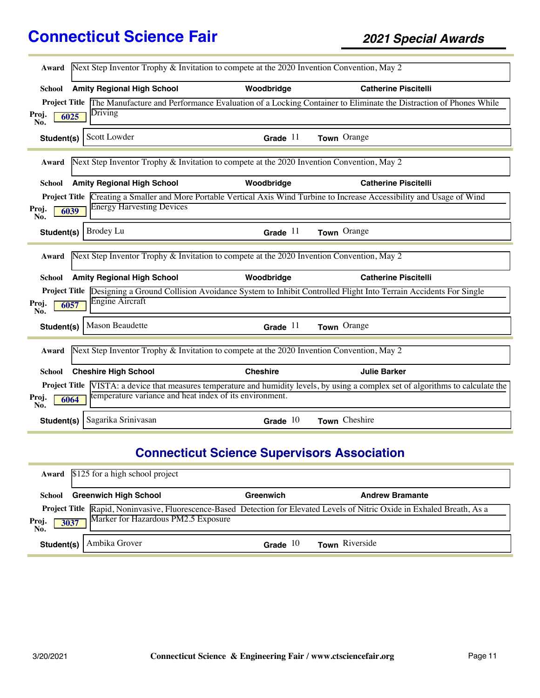| Award                                                                                              | Next Step Inventor Trophy & Invitation to compete at the 2020 Invention Convention, May 2 |                 |                                                                                                                                           |  |
|----------------------------------------------------------------------------------------------------|-------------------------------------------------------------------------------------------|-----------------|-------------------------------------------------------------------------------------------------------------------------------------------|--|
| School                                                                                             | <b>Amity Regional High School</b>                                                         | Woodbridge      | <b>Catherine Piscitelli</b>                                                                                                               |  |
| <b>Project Title</b>                                                                               | Driving                                                                                   |                 | The Manufacture and Performance Evaluation of a Locking Container to Eliminate the Distraction of Phones While                            |  |
| Proj.<br>No.                                                                                       | 6025                                                                                      |                 |                                                                                                                                           |  |
| Student(s)                                                                                         | Scott Lowder                                                                              | Grade $11$      | Town Orange                                                                                                                               |  |
| Award                                                                                              | Next Step Inventor Trophy & Invitation to compete at the 2020 Invention Convention, May 2 |                 |                                                                                                                                           |  |
| School                                                                                             | <b>Amity Regional High School</b>                                                         | Woodbridge      | <b>Catherine Piscitelli</b>                                                                                                               |  |
| <b>Project Title</b>                                                                               | <b>Energy Harvesting Devices</b>                                                          |                 | Creating a Smaller and More Portable Vertical Axis Wind Turbine to Increase Accessibility and Usage of Wind                               |  |
| Proj.<br>No.                                                                                       | 6039                                                                                      |                 |                                                                                                                                           |  |
| Student(s)                                                                                         | <b>Brodey Lu</b>                                                                          | Grade $11$      | Town Orange                                                                                                                               |  |
| Award                                                                                              | Next Step Inventor Trophy & Invitation to compete at the 2020 Invention Convention, May 2 |                 |                                                                                                                                           |  |
| School                                                                                             | <b>Amity Regional High School</b>                                                         | Woodbridge      | <b>Catherine Piscitelli</b>                                                                                                               |  |
| <b>Project Title</b>                                                                               | <b>Engine Aircraft</b>                                                                    |                 | Designing a Ground Collision Avoidance System to Inhibit Controlled Flight Into Terrain Accidents For Single                              |  |
| Proj.<br>No.                                                                                       | 6057                                                                                      |                 |                                                                                                                                           |  |
| Student(s)                                                                                         | Mason Beaudette                                                                           | Grade $11$      | Town Orange                                                                                                                               |  |
| Next Step Inventor Trophy & Invitation to compete at the 2020 Invention Convention, May 2<br>Award |                                                                                           |                 |                                                                                                                                           |  |
| School                                                                                             | <b>Cheshire High School</b>                                                               | <b>Cheshire</b> | <b>Julie Barker</b>                                                                                                                       |  |
|                                                                                                    | temperature variance and heat index of its environment.                                   |                 | <b>Project Title</b> VISTA: a device that measures temperature and humidity levels, by using a complex set of algorithms to calculate the |  |
| Proj.<br>No.                                                                                       | 6064                                                                                      |                 |                                                                                                                                           |  |
| Student(s)                                                                                         | Sagarika Srinivasan                                                                       | Grade $10$      | Town Cheshire                                                                                                                             |  |

# **Connecticut Science Supervisors Association**

|                      | Award \$125 for a high school project |            |                                                                                                                            |
|----------------------|---------------------------------------|------------|----------------------------------------------------------------------------------------------------------------------------|
| School               | <b>Greenwich High School</b>          | Greenwich  | <b>Andrew Bramante</b>                                                                                                     |
| Proj.<br>No.<br>3037 | Marker for Hazardous PM2.5 Exposure   |            | Project Title Rapid, Noninvasive, Fluorescence-Based Detection for Elevated Levels of Nitric Oxide in Exhaled Breath, As a |
| Student(s)           | Ambika Grover                         | Grade $10$ | Town Riverside                                                                                                             |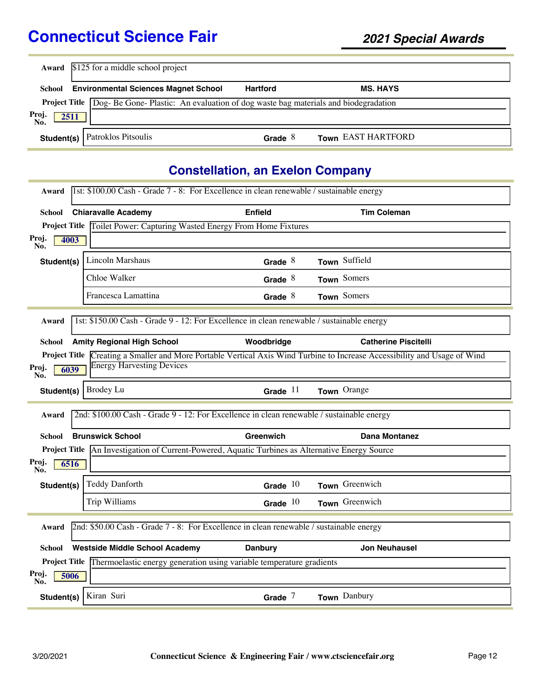|                      | <b>Award</b> \$125 for a middle school project                                   |                 |                    |  |
|----------------------|----------------------------------------------------------------------------------|-----------------|--------------------|--|
| School               | <b>Environmental Sciences Magnet School</b>                                      | <b>Hartford</b> | <b>MS. HAYS</b>    |  |
| <b>Project Title</b> | Dog-Be Gone-Plastic: An evaluation of dog waste bag materials and biodegradation |                 |                    |  |
| Proj.<br>2511<br>No. |                                                                                  |                 |                    |  |
| Student(s) $ $       | Patroklos Pitsoulis                                                              | Grade $8$       | Town EAST HARTFORD |  |

#### **Constellation, an Exelon Company**

| 1st: \$100.00 Cash - Grade 7 - 8: For Excellence in clean renewable / sustainable energy<br>Award |                                                                                                         |                |                                                                                                             |  |
|---------------------------------------------------------------------------------------------------|---------------------------------------------------------------------------------------------------------|----------------|-------------------------------------------------------------------------------------------------------------|--|
| School                                                                                            | <b>Chiaravalle Academy</b>                                                                              | <b>Enfield</b> | <b>Tim Coleman</b>                                                                                          |  |
|                                                                                                   | Project Title Toilet Power: Capturing Wasted Energy From Home Fixtures                                  |                |                                                                                                             |  |
| Proj.<br>No.<br>4003                                                                              |                                                                                                         |                |                                                                                                             |  |
| Student(s)                                                                                        | Lincoln Marshaus                                                                                        | Grade $8$      | Town Suffield                                                                                               |  |
|                                                                                                   | Chloe Walker                                                                                            | Grade $8$      | Town Somers                                                                                                 |  |
|                                                                                                   | Francesca Lamattina                                                                                     | Grade $8$      | Town Somers                                                                                                 |  |
| Award                                                                                             | 1st: \$150.00 Cash - Grade 9 - 12: For Excellence in clean renewable / sustainable energy               |                |                                                                                                             |  |
| School                                                                                            | <b>Amity Regional High School</b>                                                                       | Woodbridge     | <b>Catherine Piscitelli</b>                                                                                 |  |
| <b>Project Title</b>                                                                              |                                                                                                         |                | Creating a Smaller and More Portable Vertical Axis Wind Turbine to Increase Accessibility and Usage of Wind |  |
| Proj.<br>6039<br>No.                                                                              | <b>Energy Harvesting Devices</b>                                                                        |                |                                                                                                             |  |
| Student(s)                                                                                        | Brodey Lu                                                                                               | Grade $11$     | Town Orange                                                                                                 |  |
| Award                                                                                             | 2nd: \$100.00 Cash - Grade 9 - 12: For Excellence in clean renewable / sustainable energy               |                |                                                                                                             |  |
| School                                                                                            | <b>Brunswick School</b>                                                                                 | Greenwich      | <b>Dana Montanez</b>                                                                                        |  |
|                                                                                                   | <b>Project Title</b> An Investigation of Current-Powered, Aquatic Turbines as Alternative Energy Source |                |                                                                                                             |  |
| Proj.<br>6516<br>No.                                                                              |                                                                                                         |                |                                                                                                             |  |
| Student(s)                                                                                        | <b>Teddy Danforth</b>                                                                                   | Grade $10$     | Town Greenwich                                                                                              |  |
|                                                                                                   | Trip Williams                                                                                           | Grade $10$     | Town Greenwich                                                                                              |  |
| 2nd: \$50.00 Cash - Grade 7 - 8: For Excellence in clean renewable / sustainable energy<br>Award  |                                                                                                         |                |                                                                                                             |  |
| School                                                                                            | <b>Westside Middle School Academy</b>                                                                   | <b>Danbury</b> | <b>Jon Neuhausel</b>                                                                                        |  |
|                                                                                                   | Project Title Thermoelastic energy generation using variable temperature gradients                      |                |                                                                                                             |  |
| Proj.<br>5006<br>No.                                                                              |                                                                                                         |                |                                                                                                             |  |
| Student(s)                                                                                        | Kiran Suri                                                                                              | Grade $7$      | Town Danbury                                                                                                |  |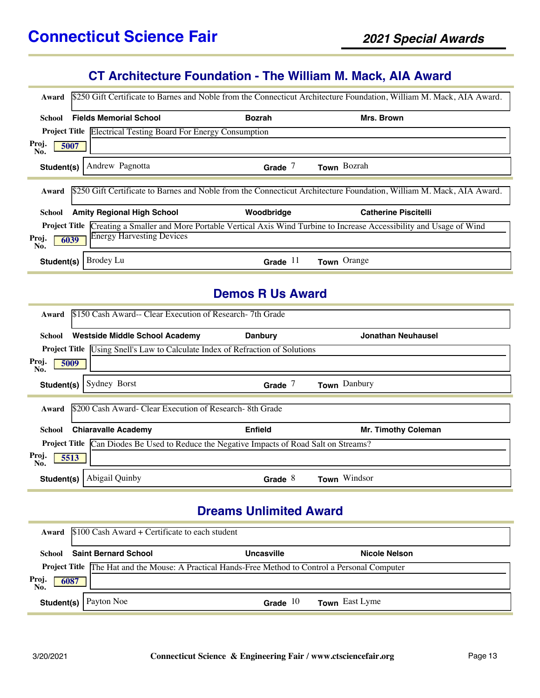# **CT Architecture Foundation - The William M. Mack, AIA Award**

| Award                |                                                                      |               | \$250 Gift Certificate to Barnes and Noble from the Connecticut Architecture Foundation, William M. Mack, AIA Award. |
|----------------------|----------------------------------------------------------------------|---------------|----------------------------------------------------------------------------------------------------------------------|
| School               | <b>Fields Memorial School</b>                                        | <b>Bozrah</b> | Mrs. Brown                                                                                                           |
|                      | <b>Project Title Electrical Testing Board For Energy Consumption</b> |               |                                                                                                                      |
| Proj.<br>5007<br>No. |                                                                      |               |                                                                                                                      |
| Student(s)           | Andrew Pagnotta                                                      | Grade $7$     | Town Bozrah                                                                                                          |
| Award                |                                                                      |               | \$250 Gift Certificate to Barnes and Noble from the Connecticut Architecture Foundation, William M. Mack, AIA Award. |
| School               | <b>Amity Regional High School</b>                                    | Woodbridge    | <b>Catherine Piscitelli</b>                                                                                          |
| <b>Project Title</b> |                                                                      |               | Creating a Smaller and More Portable Vertical Axis Wind Turbine to Increase Accessibility and Usage of Wind          |
| Proj.<br>6039<br>No. | <b>Energy Harvesting Devices</b>                                     |               |                                                                                                                      |
| Student(s)           | Brodey Lu                                                            | Grade $11$    | Town Orange                                                                                                          |

#### **Demos R Us Award**

| Award                                                                                           | \$150 Cash Award-- Clear Execution of Research-7th Grade                             |                |                            |  |
|-------------------------------------------------------------------------------------------------|--------------------------------------------------------------------------------------|----------------|----------------------------|--|
| School                                                                                          | Westside Middle School Academy                                                       | <b>Danbury</b> | Jonathan Neuhausel         |  |
|                                                                                                 | <b>Project Title</b> Using Snell's Law to Calculate Index of Refraction of Solutions |                |                            |  |
| Proj.<br>No.                                                                                    | 5009                                                                                 |                |                            |  |
| Student(s)                                                                                      | Sydney Borst                                                                         | Grade $7$      | Town Danbury               |  |
|                                                                                                 |                                                                                      |                |                            |  |
| Award                                                                                           | \$200 Cash Award- Clear Execution of Research-8th Grade                              |                |                            |  |
| School                                                                                          | <b>Chiaravalle Academy</b>                                                           | <b>Enfield</b> | <b>Mr. Timothy Coleman</b> |  |
| <b>Project Title</b> Can Diodes Be Used to Reduce the Negative Impacts of Road Salt on Streams? |                                                                                      |                |                            |  |
| Proj.<br>No.                                                                                    | 5513                                                                                 |                |                            |  |
| Student(s)                                                                                      | Abigail Quinby                                                                       | Grade $8$      | Town Windsor               |  |

## **Dreams Unlimited Award**

| Award               | \$100 Cash Award + Certificate to each student                                                           |                   |                       |  |  |
|---------------------|----------------------------------------------------------------------------------------------------------|-------------------|-----------------------|--|--|
| School              | <b>Saint Bernard School</b>                                                                              | <b>Uncasville</b> | Nicole Nelson         |  |  |
|                     | <b>Project Title</b> The Hat and the Mouse: A Practical Hands-Free Method to Control a Personal Computer |                   |                       |  |  |
| Proj<br>6087<br>No. |                                                                                                          |                   |                       |  |  |
|                     | <b>Student(s)</b> $\vert$ Payton Noe                                                                     | Grade $10$        | <b>Town</b> East Lyme |  |  |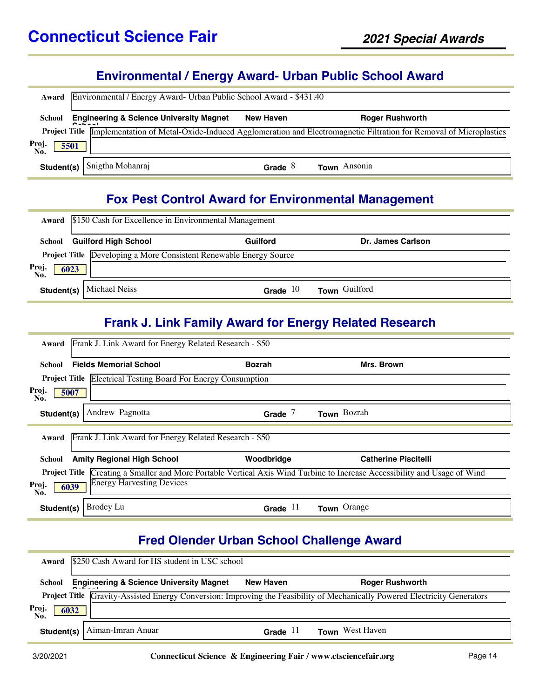#### **Environmental / Energy Award- Urban Public School Award**

| Award                | Environmental / Energy Award- Urban Public School Award - \$431.40 |                  |                                                                                                                               |  |  |  |
|----------------------|--------------------------------------------------------------------|------------------|-------------------------------------------------------------------------------------------------------------------------------|--|--|--|
| School               | <b>Engineering &amp; Science University Magnet</b>                 | <b>New Haven</b> | <b>Roger Rushworth</b>                                                                                                        |  |  |  |
|                      |                                                                    |                  | Project Title Implementation of Metal-Oxide-Induced Agglomeration and Electromagnetic Filtration for Removal of Microplastics |  |  |  |
| Proj.<br>5501<br>No. |                                                                    |                  |                                                                                                                               |  |  |  |
| Student(s)           | Snigtha Mohanraj                                                   | Grade $8$        | Town Ansonia                                                                                                                  |  |  |  |

# **Fox Pest Control Award for Environmental Management**

|                      | Award \$150 Cash for Excellence in Environmental Management |                                                                    |                   |  |  |
|----------------------|-------------------------------------------------------------|--------------------------------------------------------------------|-------------------|--|--|
| School               | <b>Guilford High School</b>                                 | Guilford                                                           | Dr. James Carlson |  |  |
|                      |                                                             | Project Title Developing a More Consistent Renewable Energy Source |                   |  |  |
| Proj.<br>No.<br>6023 |                                                             |                                                                    |                   |  |  |
|                      | <b>Student(s)</b>   Michael Neiss                           | Grade $10$                                                         | Town Guilford     |  |  |

#### **Frank J. Link Family Award for Energy Related Research**

| Frank J. Link Award for Energy Related Research - \$50<br>Award                                                                     |               |                             |  |  |
|-------------------------------------------------------------------------------------------------------------------------------------|---------------|-----------------------------|--|--|
| <b>Fields Memorial School</b><br>School                                                                                             | <b>Bozrah</b> | Mrs. Brown                  |  |  |
| <b>Electrical Testing Board For Energy Consumption</b><br><b>Project Title</b>                                                      |               |                             |  |  |
| Proj.<br>5007<br>No.                                                                                                                |               |                             |  |  |
| Andrew Pagnotta<br>Student(s)                                                                                                       | Grade $7$     | Town Bozrah                 |  |  |
| Frank J. Link Award for Energy Related Research - \$50<br>Award                                                                     |               |                             |  |  |
| <b>Amity Regional High School</b><br>School                                                                                         | Woodbridge    | <b>Catherine Piscitelli</b> |  |  |
| Creating a Smaller and More Portable Vertical Axis Wind Turbine to Increase Accessibility and Usage of Wind<br><b>Project Title</b> |               |                             |  |  |
| <b>Energy Harvesting Devices</b><br>Proj.<br>6039<br>No.                                                                            |               |                             |  |  |
| Brodey Lu<br>Student(s)                                                                                                             | Grade $11$    | Town Orange                 |  |  |

## **Fred Olender Urban School Challenge Award**

| Award                | \$250 Cash Award for HS student in USC school      |                  |                                                                                                                            |  |  |
|----------------------|----------------------------------------------------|------------------|----------------------------------------------------------------------------------------------------------------------------|--|--|
| School               | <b>Engineering &amp; Science University Magnet</b> | <b>New Haven</b> | <b>Roger Rushworth</b>                                                                                                     |  |  |
|                      |                                                    |                  | Project Title Gravity-Assisted Energy Conversion: Improving the Feasibility of Mechanically Powered Electricity Generators |  |  |
| Proj.<br>No.<br>6032 |                                                    |                  |                                                                                                                            |  |  |
| Student(s)           | Aiman-Imran Anuar                                  | Grade $11$       | <b>Town</b> West Haven                                                                                                     |  |  |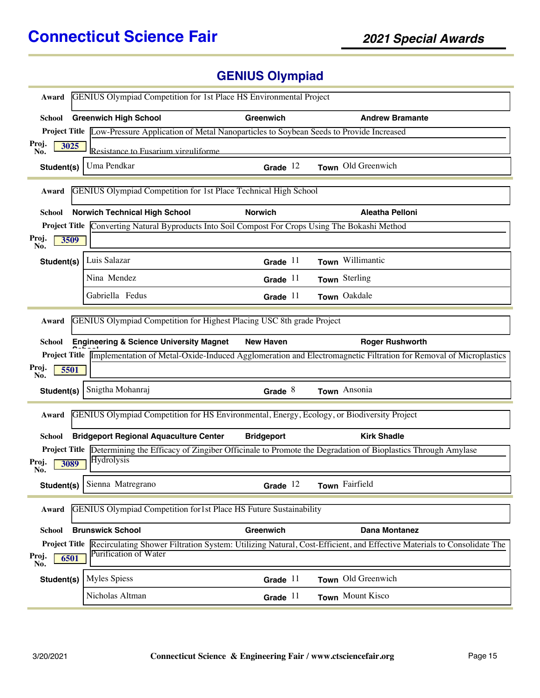# **GENIUS Olympiad**

| <b>GENIUS Olympiad Competition for 1st Place HS Environmental Project</b><br>Award                                                                                                   |                                                                                                                             |                   |                                                                                                                                                         |  |
|--------------------------------------------------------------------------------------------------------------------------------------------------------------------------------------|-----------------------------------------------------------------------------------------------------------------------------|-------------------|---------------------------------------------------------------------------------------------------------------------------------------------------------|--|
| <b>School</b>                                                                                                                                                                        | <b>Greenwich High School</b>                                                                                                | Greenwich         | <b>Andrew Bramante</b>                                                                                                                                  |  |
|                                                                                                                                                                                      | <b>Project Title</b> Low-Pressure Application of Metal Nanoparticles to Soybean Seeds to Provide Increased                  |                   |                                                                                                                                                         |  |
| Proj.<br>3025<br>No.                                                                                                                                                                 | Resistance to Fusarium virguliforme                                                                                         |                   |                                                                                                                                                         |  |
| Student(s)                                                                                                                                                                           | Uma Pendkar                                                                                                                 | Grade $12$        | Town Old Greenwich                                                                                                                                      |  |
| Award                                                                                                                                                                                | <b>GENIUS Olympiad Competition for 1st Place Technical High School</b>                                                      |                   |                                                                                                                                                         |  |
| School                                                                                                                                                                               | <b>Norwich Technical High School</b>                                                                                        | <b>Norwich</b>    | <b>Aleatha Pelloni</b>                                                                                                                                  |  |
|                                                                                                                                                                                      | Project Title Converting Natural Byproducts Into Soil Compost For Crops Using The Bokashi Method                            |                   |                                                                                                                                                         |  |
| Proj.<br>3509<br>No.                                                                                                                                                                 |                                                                                                                             |                   |                                                                                                                                                         |  |
| Student(s)                                                                                                                                                                           | Luis Salazar                                                                                                                | Grade $11$        | Town Willimantic                                                                                                                                        |  |
|                                                                                                                                                                                      | Nina Mendez                                                                                                                 | Grade $11$        | Town Sterling                                                                                                                                           |  |
|                                                                                                                                                                                      | Gabriella Fedus                                                                                                             | Grade $11$        | Town Oakdale                                                                                                                                            |  |
| Award<br><b>School</b><br>Proj.<br>5501                                                                                                                                              | GENIUS Olympiad Competition for Highest Placing USC 8th grade Project<br><b>Engineering &amp; Science University Magnet</b> | <b>New Haven</b>  | <b>Roger Rushworth</b><br>Project Title Implementation of Metal-Oxide-Induced Agglomeration and Electromagnetic Filtration for Removal of Microplastics |  |
| No.<br>Student(s)                                                                                                                                                                    | Snigtha Mohanraj                                                                                                            | Grade $8$         | Town Ansonia                                                                                                                                            |  |
| Award                                                                                                                                                                                | GENIUS Olympiad Competition for HS Environmental, Energy, Ecology, or Biodiversity Project                                  |                   |                                                                                                                                                         |  |
| School                                                                                                                                                                               | <b>Bridgeport Regional Aquaculture Center</b>                                                                               | <b>Bridgeport</b> | <b>Kirk Shadle</b>                                                                                                                                      |  |
| Proj.<br>3089<br>No.                                                                                                                                                                 | Hydrolysis                                                                                                                  |                   | <b>Project Title</b> Determining the Efficacy of Zingiber Officinale to Promote the Degradation of Bioplastics Through Amylase                          |  |
|                                                                                                                                                                                      | Student(s) Sienna Matregrano                                                                                                | Grade $12$        | Town Fairfield                                                                                                                                          |  |
| <b>GENIUS Olympiad Competition for1st Place HS Future Sustainability</b><br>Award                                                                                                    |                                                                                                                             |                   |                                                                                                                                                         |  |
| <b>School</b>                                                                                                                                                                        | <b>Brunswick School</b>                                                                                                     | Greenwich         | Dana Montanez                                                                                                                                           |  |
| <b>Project Title</b> Recirculating Shower Filtration System: Utilizing Natural, Cost-Efficient, and Effective Materials to Consolidate The<br>Purification of Water<br>Proj.<br>6501 |                                                                                                                             |                   |                                                                                                                                                         |  |
| No.<br>Student(s)                                                                                                                                                                    | <b>Myles Spiess</b>                                                                                                         | Grade $11$        | Town Old Greenwich                                                                                                                                      |  |
|                                                                                                                                                                                      | Nicholas Altman                                                                                                             | Grade $11$        | Town Mount Kisco                                                                                                                                        |  |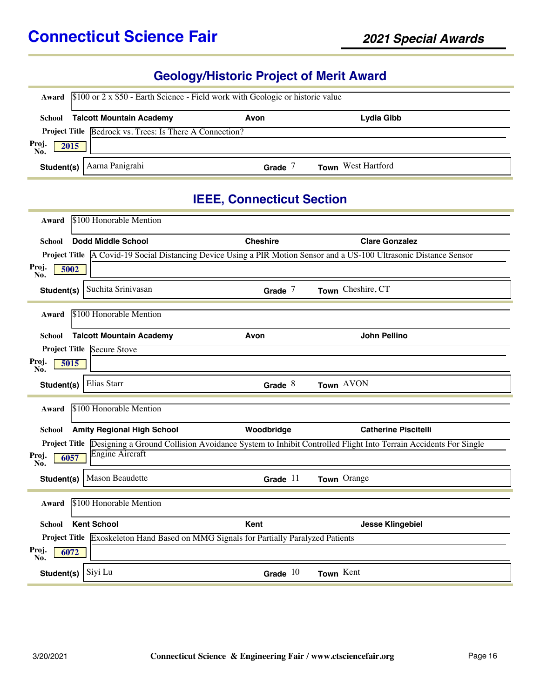# **Geology/Historic Project of Merit Award**

|                      | <b>Award</b> $$100$ or 2 x \$50 - Earth Science - Field work with Geologic or historic value |       |                           |  |  |  |
|----------------------|----------------------------------------------------------------------------------------------|-------|---------------------------|--|--|--|
|                      | <b>School</b> Talcott Mountain Academy<br>Lydia Gibb<br>Avon                                 |       |                           |  |  |  |
|                      | Project Title Bedrock vs. Trees: Is There A Connection?                                      |       |                           |  |  |  |
| Proj.<br>No.<br>2015 |                                                                                              |       |                           |  |  |  |
| Student(s)           | Aarna Panigrahi                                                                              | Grade | <b>Town</b> West Hartford |  |  |  |

#### **IEEE, Connecticut Section**

| Award                | \$100 Honorable Mention           |                                                                                      |                                                                                                                            |  |
|----------------------|-----------------------------------|--------------------------------------------------------------------------------------|----------------------------------------------------------------------------------------------------------------------------|--|
| School               | Dodd Middle School                | <b>Cheshire</b>                                                                      | <b>Clare Gonzalez</b>                                                                                                      |  |
|                      |                                   |                                                                                      | Project Title A Covid-19 Social Distancing Device Using a PIR Motion Sensor and a US-100 Ultrasonic Distance Sensor        |  |
| Proj.<br>5002<br>No. |                                   |                                                                                      |                                                                                                                            |  |
| Student(s)           | Suchita Srinivasan                | Grade $7$                                                                            | Town Cheshire, CT                                                                                                          |  |
| Award                | \$100 Honorable Mention           |                                                                                      |                                                                                                                            |  |
| <b>School</b>        | <b>Talcott Mountain Academy</b>   | Avon                                                                                 | <b>John Pellino</b>                                                                                                        |  |
|                      | <b>Project Title Secure Stove</b> |                                                                                      |                                                                                                                            |  |
| Proj.<br>5015<br>No. |                                   |                                                                                      |                                                                                                                            |  |
| Student(s)           | Elias Starr                       | Grade $8$                                                                            | Town AVON                                                                                                                  |  |
| Award                | \$100 Honorable Mention           |                                                                                      |                                                                                                                            |  |
|                      |                                   |                                                                                      |                                                                                                                            |  |
| School               | <b>Amity Regional High School</b> | Woodbridge                                                                           | <b>Catherine Piscitelli</b>                                                                                                |  |
|                      | <b>Engine Aircraft</b>            |                                                                                      | Project Title Designing a Ground Collision Avoidance System to Inhibit Controlled Flight Into Terrain Accidents For Single |  |
| Proj.<br>6057<br>No. |                                   |                                                                                      |                                                                                                                            |  |
| Student(s)           | <b>Mason Beaudette</b>            | Grade $11$                                                                           | Town Orange                                                                                                                |  |
| Award                | \$100 Honorable Mention           |                                                                                      |                                                                                                                            |  |
| School               | <b>Kent School</b>                | Kent                                                                                 | <b>Jesse Klingebiel</b>                                                                                                    |  |
|                      |                                   | Project Title Exoskeleton Hand Based on MMG Signals for Partially Paralyzed Patients |                                                                                                                            |  |
| Proj.<br>6072<br>No. |                                   |                                                                                      |                                                                                                                            |  |
| Student(s)           | Siyi Lu                           | Grade $10$                                                                           | Town Kent                                                                                                                  |  |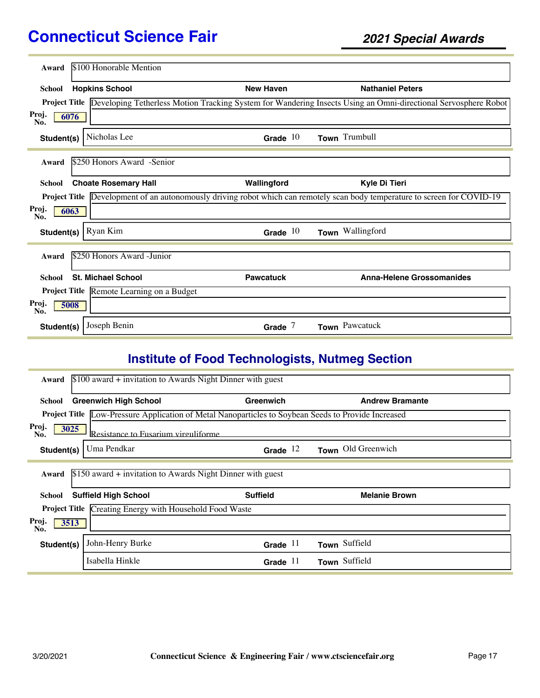| Award                | \$100 Honorable Mention                   |                  |                                                                                                                                   |
|----------------------|-------------------------------------------|------------------|-----------------------------------------------------------------------------------------------------------------------------------|
| <b>School</b>        | <b>Hopkins School</b>                     | <b>New Haven</b> | <b>Nathaniel Peters</b>                                                                                                           |
|                      |                                           |                  | Project Title Developing Tetherless Motion Tracking System for Wandering Insects Using an Omni-directional Servosphere Robot      |
| Proj.<br>6076<br>No. |                                           |                  |                                                                                                                                   |
| Student(s)           | Nicholas Lee                              | Grade $10$       | Town Trumbull                                                                                                                     |
| Award                | \$250 Honors Award -Senior                |                  |                                                                                                                                   |
| <b>School</b>        | <b>Choate Rosemary Hall</b>               | Wallingford      | Kyle Di Tieri                                                                                                                     |
|                      |                                           |                  | <b>Project Title</b> Development of an autonomously driving robot which can remotely scan body temperature to screen for COVID-19 |
| Proj.<br>6063<br>No. |                                           |                  |                                                                                                                                   |
| Student(s)           | Ryan Kim                                  | Grade $10$       | Town Wallingford                                                                                                                  |
| Award                | \$250 Honors Award -Junior                |                  |                                                                                                                                   |
| School               | <b>St. Michael School</b>                 | <b>Pawcatuck</b> | <b>Anna-Helene Grossomanides</b>                                                                                                  |
|                      | Project Title Remote Learning on a Budget |                  |                                                                                                                                   |
| Proj.<br>5008<br>No. |                                           |                  |                                                                                                                                   |
| Student(s)           | Joseph Benin                              | Grade $7$        | Town Pawcatuck                                                                                                                    |

# **Institute of Food Technologists, Nutmeg Section**

| $$100$ award + invitation to Awards Night Dinner with guest<br>Award |                                                                                                            |                 |                        |  |
|----------------------------------------------------------------------|------------------------------------------------------------------------------------------------------------|-----------------|------------------------|--|
| School                                                               | <b>Greenwich High School</b>                                                                               | Greenwich       | <b>Andrew Bramante</b> |  |
|                                                                      | <b>Project Title</b> Low-Pressure Application of Metal Nanoparticles to Soybean Seeds to Provide Increased |                 |                        |  |
| Proj.<br>3025<br>No.                                                 | Resistance to Fusarium virouliforme.                                                                       |                 |                        |  |
| Student(s)                                                           | Uma Pendkar                                                                                                | Grade $12$      | Town Old Greenwich     |  |
| Award                                                                | $$150$ award + invitation to Awards Night Dinner with guest                                                |                 |                        |  |
| School                                                               | <b>Suffield High School</b>                                                                                | <b>Suffield</b> | <b>Melanie Brown</b>   |  |
|                                                                      | <b>Project Title Creating Energy with Household Food Waste</b>                                             |                 |                        |  |
| Proj.<br>3513<br>No.                                                 |                                                                                                            |                 |                        |  |
| Student(s)                                                           | John-Henry Burke                                                                                           | Grade $11$      | Town Suffield          |  |
|                                                                      | Isabella Hinkle                                                                                            | Grade $11$      | Town Suffield          |  |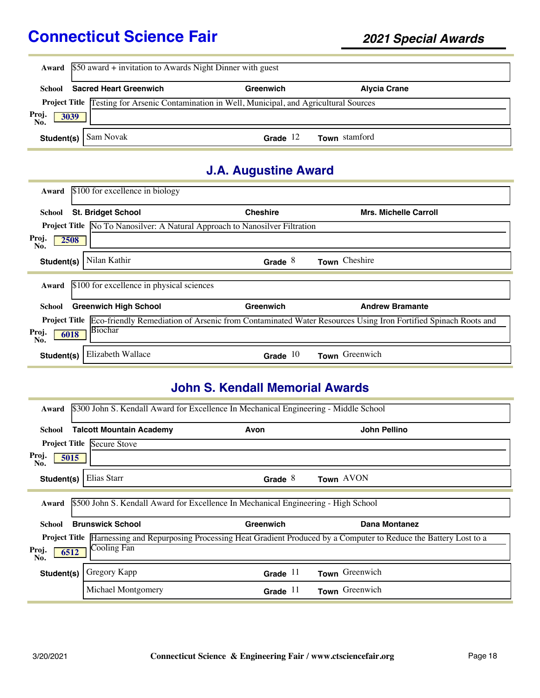| Award                | $$50$ award + invitation to Awards Night Dinner with guest |                                                                                    |                              |
|----------------------|------------------------------------------------------------|------------------------------------------------------------------------------------|------------------------------|
| School               | <b>Sacred Heart Greenwich</b>                              | Greenwich                                                                          | <b>Alycia Crane</b>          |
| <b>Project Title</b> |                                                            | Testing for Arsenic Contamination in Well, Municipal, and Agricultural Sources     |                              |
| Proj.<br>3039<br>No. |                                                            |                                                                                    |                              |
| Student(s)           | Sam Novak                                                  | Grade $12$                                                                         | Town stamford                |
|                      |                                                            | <b>J.A. Augustine Award</b>                                                        |                              |
| Award                | \$100 for excellence in biology                            |                                                                                    |                              |
| School               | <b>St. Bridget School</b>                                  | <b>Cheshire</b>                                                                    | <b>Mrs. Michelle Carroll</b> |
|                      |                                                            | <b>Project Title</b> No To Nanosilver: A Natural Approach to Nanosilver Filtration |                              |
| Proj.<br>2508<br>No. |                                                            |                                                                                    |                              |
| Student(s)           | Nilan Kathir                                               | Grade $8$                                                                          | Town Cheshire                |

|                      | Award \$100 for excellence in physical sciences |            |                                                                                                                                   |
|----------------------|-------------------------------------------------|------------|-----------------------------------------------------------------------------------------------------------------------------------|
| School               | <b>Greenwich High School</b>                    | Greenwich  | <b>Andrew Bramante</b>                                                                                                            |
|                      | Biochar                                         |            | <b>Project Title</b> Eco-friendly Remediation of Arsenic from Contaminated Water Resources Using Iron Fortified Spinach Roots and |
| Proj.<br>No.<br>6018 |                                                 |            |                                                                                                                                   |
| Student(s)           | Elizabeth Wallace                               | Grade $10$ | Town Greenwich                                                                                                                    |

## **John S. Kendall Memorial Awards**

| Award                | \$300 John S. Kendall Award for Excellence In Mechanical Engineering - Middle School |            |                                                                                                            |
|----------------------|--------------------------------------------------------------------------------------|------------|------------------------------------------------------------------------------------------------------------|
| School               | <b>Talcott Mountain Academy</b>                                                      | Avon       | John Pellino                                                                                               |
|                      | <b>Project Title Secure Stove</b>                                                    |            |                                                                                                            |
| Proj.<br>5015<br>No. |                                                                                      |            |                                                                                                            |
| Student(s)           | Elias Starr                                                                          | Grade $8$  | Town AVON                                                                                                  |
| Award                | \$500 John S. Kendall Award for Excellence In Mechanical Engineering - High School   |            |                                                                                                            |
| School               | <b>Brunswick School</b>                                                              | Greenwich  | Dana Montanez                                                                                              |
| <b>Project Title</b> |                                                                                      |            | Harnessing and Repurposing Processing Heat Gradient Produced by a Computer to Reduce the Battery Lost to a |
| Proj.<br>6512<br>No. | Cooling Fan                                                                          |            |                                                                                                            |
| Student(s)           | Gregory Kapp                                                                         | Grade $11$ | Town Greenwich                                                                                             |
|                      | Michael Montgomery                                                                   | Grade $11$ | Town Greenwich                                                                                             |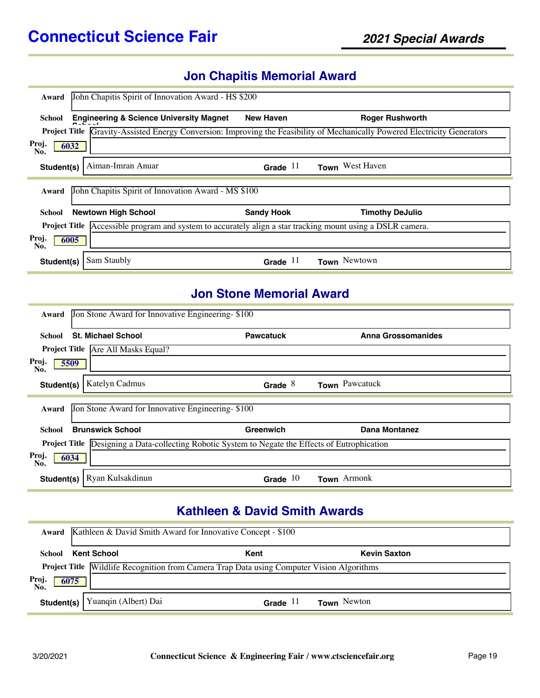#### **Jon Chapitis Memorial Award**

| John Chapitis Spirit of Innovation Award - HS \$200<br>Award                                                         |                   |                                                                                                              |
|----------------------------------------------------------------------------------------------------------------------|-------------------|--------------------------------------------------------------------------------------------------------------|
| <b>Engineering &amp; Science University Magnet</b><br>School                                                         | <b>New Haven</b>  | <b>Roger Rushworth</b>                                                                                       |
| <b>Project Title</b>                                                                                                 |                   | Gravity-Assisted Energy Conversion: Improving the Feasibility of Mechanically Powered Electricity Generators |
| Proj.<br>6032<br>No.                                                                                                 |                   |                                                                                                              |
| Aiman-Imran Anuar<br>Student(s)                                                                                      | Grade $11$        | Town West Haven                                                                                              |
| John Chapitis Spirit of Innovation Award - MS \$100<br>Award                                                         |                   |                                                                                                              |
| <b>Newtown High School</b><br>School                                                                                 | <b>Sandy Hook</b> | <b>Timothy DeJulio</b>                                                                                       |
| Accessible program and system to accurately align a star tracking mount using a DSLR camera.<br><b>Project Title</b> |                   |                                                                                                              |
| Proj.<br>6005<br>No.                                                                                                 |                   |                                                                                                              |
| Sam Staubly<br>Student(s)                                                                                            | Grade $11$        | Town Newtown                                                                                                 |

## **Jon Stone Memorial Award**

| Award                | Jon Stone Award for Innovative Engineering-\$100                                                        |                  |                    |
|----------------------|---------------------------------------------------------------------------------------------------------|------------------|--------------------|
| School               | <b>St. Michael School</b>                                                                               | <b>Pawcatuck</b> | Anna Grossomanides |
|                      | Project Title Are All Masks Equal?                                                                      |                  |                    |
| Proj.<br>5509<br>No. |                                                                                                         |                  |                    |
| Student(s)           | Katelyn Cadmus                                                                                          | Grade $8$        | Town Pawcatuck     |
|                      |                                                                                                         |                  |                    |
| Award                | Jon Stone Award for Innovative Engineering-\$100                                                        |                  |                    |
| <b>School</b>        | <b>Brunswick School</b>                                                                                 | Greenwich        | Dana Montanez      |
|                      | <b>Project Title</b> Designing a Data-collecting Robotic System to Negate the Effects of Eutrophication |                  |                    |
| Proj.<br>6034<br>No. |                                                                                                         |                  |                    |
| Student(s)           | Ryan Kulsakdinun                                                                                        | Grade $10$       | Town Armonk        |

## **Kathleen & David Smith Awards**

|                      | Award Kathleen & David Smith Award for Innovative Concept - \$100                                |            |                     |  |
|----------------------|--------------------------------------------------------------------------------------------------|------------|---------------------|--|
|                      | <b>School Kent School</b>                                                                        | Kent       | <b>Kevin Saxton</b> |  |
|                      | <b>Project Title Wildlife Recognition from Camera Trap Data using Computer Vision Algorithms</b> |            |                     |  |
| Proj.<br>No.<br>6075 |                                                                                                  |            |                     |  |
| Student(s)           | Yuanqin (Albert) Dai                                                                             | Grade $11$ | <b>Town</b> Newton  |  |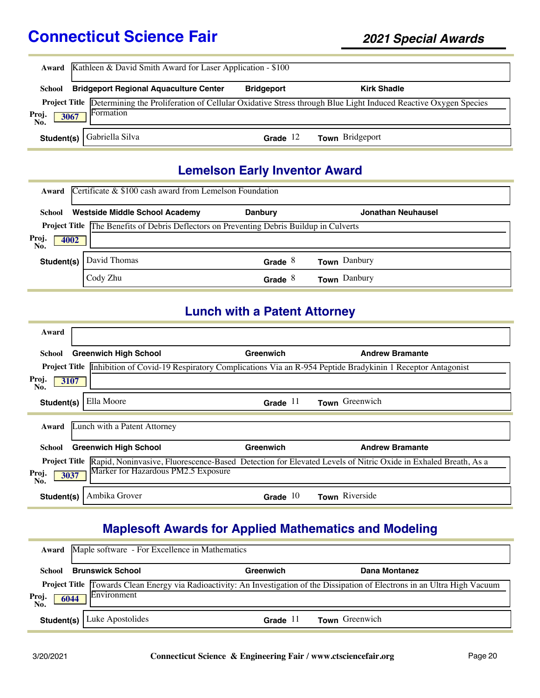|                      | <b>Award</b> Kathleen & David Smith Award for Laser Application - \$100 |                   |                                                                                                                                    |  |
|----------------------|-------------------------------------------------------------------------|-------------------|------------------------------------------------------------------------------------------------------------------------------------|--|
| <b>School</b>        | <b>Bridgeport Regional Aquaculture Center</b>                           | <b>Bridgeport</b> | <b>Kirk Shadle</b>                                                                                                                 |  |
| Proj.<br>No.<br>3067 | Formation                                                               |                   | <b>Project Title</b> Determining the Proliferation of Cellular Oxidative Stress through Blue Light Induced Reactive Oxygen Species |  |
| Student(s) $ $       | Gabriella Silva                                                         | 12<br>Grade       | Town Bridgeport                                                                                                                    |  |

#### **Lemelson Early Inventor Award**

| Award                | Certificate $\&$ \$100 cash award from Lemelson Foundation                               |                |                     |
|----------------------|------------------------------------------------------------------------------------------|----------------|---------------------|
| School               | <b>Westside Middle School Academy</b>                                                    | <b>Danbury</b> | Jonathan Neuhausel  |
|                      | Project Title The Benefits of Debris Deflectors on Preventing Debris Buildup in Culverts |                |                     |
| Proj.<br>4002<br>No. |                                                                                          |                |                     |
| Student(s)           | David Thomas                                                                             | Grade $8$      | Town Danbury        |
|                      | Cody Zhu                                                                                 | Grade          | <b>Town</b> Danbury |

#### **Lunch with a Patent Attorney**

| Award                                                                                                                             |            |                        |
|-----------------------------------------------------------------------------------------------------------------------------------|------------|------------------------|
| <b>Greenwich High School</b><br>School                                                                                            | Greenwich  | <b>Andrew Bramante</b> |
| Project Title <b>Inhibition of Covid-19 Respiratory Complications Via an R-954 Peptide Bradykinin 1 Receptor Antagonist</b>       |            |                        |
| Proj.<br>3107<br>No.                                                                                                              |            |                        |
| Ella Moore<br>Student(s)                                                                                                          | Grade $11$ | Town Greenwich         |
| Lunch with a Patent Attorney<br>Award                                                                                             |            |                        |
| <b>Greenwich High School</b><br>School                                                                                            | Greenwich  | <b>Andrew Bramante</b> |
| <b>Project Title</b> Rapid, Noninvasive, Fluorescence-Based Detection for Elevated Levels of Nitric Oxide in Exhaled Breath, As a |            |                        |
| Marker for Hazardous PM2.5 Exposure<br>Proj.<br>3037<br>No.                                                                       |            |                        |
| Ambika Grover<br>Student(s)                                                                                                       | Grade $10$ | Town Riverside         |

# **Maplesoft Awards for Applied Mathematics and Modeling**

|                      | <b>Award</b> Maple software - For Excellence in Mathematics |            |                                                                                                                                |  |
|----------------------|-------------------------------------------------------------|------------|--------------------------------------------------------------------------------------------------------------------------------|--|
| School               | <b>Brunswick School</b>                                     | Greenwich  | Dana Montanez                                                                                                                  |  |
| Proj.<br>6044<br>No. | Environment                                                 |            | Project Title Towards Clean Energy via Radioactivity: An Investigation of the Dissipation of Electrons in an Ultra High Vacuum |  |
|                      | <b>Student(s)</b>   Luke Apostolides                        | Grade $11$ | Town Greenwich                                                                                                                 |  |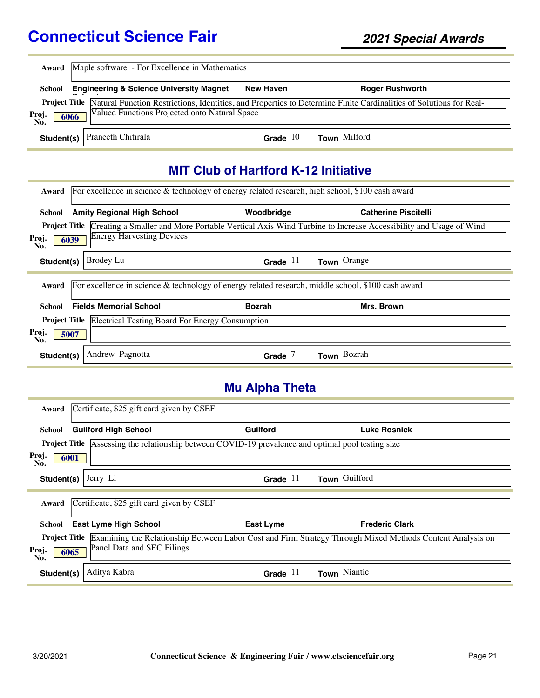|                      | <b>Award</b> Maple software - For Excellence in Mathematics |                  |                                                                                                                                         |  |
|----------------------|-------------------------------------------------------------|------------------|-----------------------------------------------------------------------------------------------------------------------------------------|--|
| School               | <b>Engineering &amp; Science University Magnet</b>          | <b>New Haven</b> | <b>Roger Rushworth</b>                                                                                                                  |  |
| Proj.<br>No.<br>6066 | Valued Functions Projected onto Natural Space               |                  | <b>Project Title</b> Natural Function Restrictions, Identities, and Properties to Determine Finite Cardinalities of Solutions for Real- |  |
|                      | <b>Student(s)</b> Praneeth Chitirala                        | Grade $10$       | <b>Town</b> Milford                                                                                                                     |  |

## **MIT Club of Hartford K-12 Initiative**

| Award                |                                                                      | For excellence in science & technology of energy related research, high school, \$100 cash award   |                                                                                                                                  |
|----------------------|----------------------------------------------------------------------|----------------------------------------------------------------------------------------------------|----------------------------------------------------------------------------------------------------------------------------------|
| School               | <b>Amity Regional High School</b>                                    | Woodbridge                                                                                         | <b>Catherine Piscitelli</b>                                                                                                      |
|                      |                                                                      |                                                                                                    | <b>Project Title</b> Creating a Smaller and More Portable Vertical Axis Wind Turbine to Increase Accessibility and Usage of Wind |
| Proj.<br>6039<br>No. | <b>Energy Harvesting Devices</b>                                     |                                                                                                    |                                                                                                                                  |
| Student(s)           | Brodey Lu                                                            | Grade $11$                                                                                         | Town Orange                                                                                                                      |
|                      |                                                                      |                                                                                                    |                                                                                                                                  |
| Award                |                                                                      | For excellence in science & technology of energy related research, middle school, \$100 cash award |                                                                                                                                  |
| School               | <b>Fields Memorial School</b>                                        | <b>Bozrah</b>                                                                                      | Mrs. Brown                                                                                                                       |
|                      | <b>Project Title Electrical Testing Board For Energy Consumption</b> |                                                                                                    |                                                                                                                                  |
| Proj.<br>5007<br>No. |                                                                      |                                                                                                    |                                                                                                                                  |

# **Mu Alpha Theta**

| Award                | Certificate, \$25 gift card given by CSEF                                            |                 |                                                                                                           |
|----------------------|--------------------------------------------------------------------------------------|-----------------|-----------------------------------------------------------------------------------------------------------|
| School               | <b>Guilford High School</b>                                                          | <b>Guilford</b> | <b>Luke Rosnick</b>                                                                                       |
| <b>Project Title</b> | Assessing the relationship between COVID-19 prevalence and optimal pool testing size |                 |                                                                                                           |
| Proj.<br>6001<br>No. |                                                                                      |                 |                                                                                                           |
| Student(s)           | Jerry Li                                                                             | Grade $11$      | Town Guilford                                                                                             |
| Award                | Certificate, \$25 gift card given by CSEF                                            |                 |                                                                                                           |
| School               | <b>East Lyme High School</b>                                                         | East Lyme       | <b>Frederic Clark</b>                                                                                     |
| <b>Project Title</b> |                                                                                      |                 | Examining the Relationship Between Labor Cost and Firm Strategy Through Mixed Methods Content Analysis on |
| Proj.<br>6065<br>No. | Panel Data and SEC Filings                                                           |                 |                                                                                                           |
| Student(s)           | Aditya Kabra                                                                         | Grade $11$      | Town Niantic                                                                                              |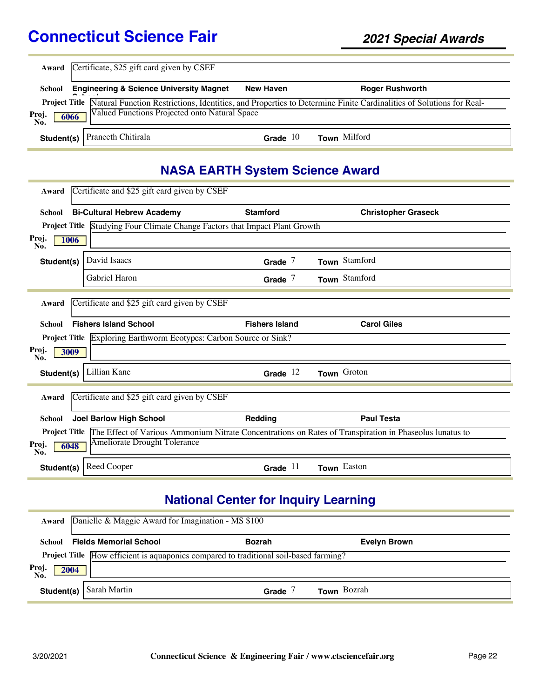|                      | Award Certificate, \$25 gift card given by CSEF    |                  |                                                                                                                                         |  |  |  |
|----------------------|----------------------------------------------------|------------------|-----------------------------------------------------------------------------------------------------------------------------------------|--|--|--|
| School               | <b>Engineering &amp; Science University Magnet</b> | <b>New Haven</b> | <b>Roger Rushworth</b>                                                                                                                  |  |  |  |
| Proj.<br>6066<br>No. | Valued Functions Projected onto Natural Space      |                  | <b>Project Title Matural Function Restrictions, Identities, and Properties to Determine Finite Cardinalities of Solutions for Real-</b> |  |  |  |
|                      | <b>Student(s)</b> Praneeth Chitirala               | Grade $10$       | Town Milford                                                                                                                            |  |  |  |

## **NASA EARTH System Science Award**

| Award                | Certificate and \$25 gift card given by CSEF                                |                       |                                                                                                         |
|----------------------|-----------------------------------------------------------------------------|-----------------------|---------------------------------------------------------------------------------------------------------|
| School               | <b>Bi-Cultural Hebrew Academy</b>                                           | <b>Stamford</b>       | <b>Christopher Graseck</b>                                                                              |
|                      | Project Title Studying Four Climate Change Factors that Impact Plant Growth |                       |                                                                                                         |
| Proj.<br>1006<br>No. |                                                                             |                       |                                                                                                         |
| Student(s)           | David Isaacs                                                                | Grade $7$             | Town Stamford                                                                                           |
|                      | Gabriel Haron                                                               | Grade $7$             | Town Stamford                                                                                           |
| Award                | Certificate and \$25 gift card given by CSEF                                |                       |                                                                                                         |
| School               | <b>Fishers Island School</b>                                                | <b>Fishers Island</b> | <b>Carol Giles</b>                                                                                      |
|                      | Project Title Exploring Earthworm Ecotypes: Carbon Source or Sink?          |                       |                                                                                                         |
| Proj.<br>3009<br>No. |                                                                             |                       |                                                                                                         |
| Student(s)           | Lillian Kane                                                                | Grade $12$            | Town Groton                                                                                             |
| Award                | Certificate and \$25 gift card given by CSEF                                |                       |                                                                                                         |
| School               | <b>Joel Barlow High School</b>                                              | Redding               | <b>Paul Testa</b>                                                                                       |
| <b>Project Title</b> |                                                                             |                       | The Effect of Various Ammonium Nitrate Concentrations on Rates of Transpiration in Phaseolus lunatus to |
| Proj.<br>6048<br>No. | Ameliorate Drought Tolerance                                                |                       |                                                                                                         |
| Student(s)           | Reed Cooper                                                                 | Grade $11$            | Town Easton                                                                                             |

# **National Center for Inquiry Learning**

|                      | Award Danielle & Maggie Award for Imagination - MS \$100                              |               |                     |  |
|----------------------|---------------------------------------------------------------------------------------|---------------|---------------------|--|
| School               | <b>Fields Memorial School</b>                                                         | <b>Bozrah</b> | <b>Evelyn Brown</b> |  |
|                      | Project Title How efficient is aquaponics compared to traditional soil-based farming? |               |                     |  |
| Proj.<br>No.<br>2004 |                                                                                       |               |                     |  |
| Student(s)           | Sarah Martin                                                                          | Grade         | Town Bozrah         |  |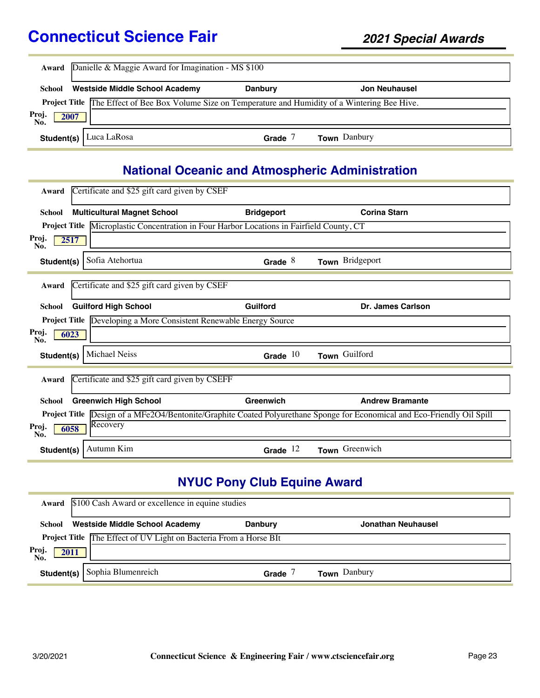| Award                | Danielle & Maggie Award for Imagination - MS \$100                                                          |                |                     |  |  |
|----------------------|-------------------------------------------------------------------------------------------------------------|----------------|---------------------|--|--|
| School               | <b>Westside Middle School Academy</b>                                                                       | <b>Danbury</b> | Jon Neuhausel       |  |  |
|                      | <b>Project Title The Effect of Bee Box Volume Size on Temperature and Humidity of a Wintering Bee Hive.</b> |                |                     |  |  |
| Proj.<br>2007<br>No. |                                                                                                             |                |                     |  |  |
| Student(s) $\vert$   | Luca LaRosa                                                                                                 | Grade          | <b>Town</b> Danbury |  |  |

# **National Oceanic and Atmospheric Administration**

| Award                | Certificate and \$25 gift card given by CSEF                                              |                   |                                                                                                            |
|----------------------|-------------------------------------------------------------------------------------------|-------------------|------------------------------------------------------------------------------------------------------------|
| <b>School</b>        | <b>Multicultural Magnet School</b>                                                        | <b>Bridgeport</b> | <b>Corina Starn</b>                                                                                        |
|                      | Project Title Microplastic Concentration in Four Harbor Locations in Fairfield County, CT |                   |                                                                                                            |
| Proj.<br>No.         | 2517                                                                                      |                   |                                                                                                            |
| Student(s)           | Sofia Atehortua                                                                           | Grade $8$         | Town Bridgeport                                                                                            |
| Award                | Certificate and \$25 gift card given by CSEF                                              |                   |                                                                                                            |
| <b>School</b>        | <b>Guilford High School</b>                                                               | Guilford          | Dr. James Carlson                                                                                          |
|                      | Project Title Developing a More Consistent Renewable Energy Source                        |                   |                                                                                                            |
| Proj.<br>No.         | 6023                                                                                      |                   |                                                                                                            |
| Student(s)           | <b>Michael Neiss</b>                                                                      | Grade $10$        | Town Guilford                                                                                              |
| Award                | Certificate and \$25 gift card given by CSEFF                                             |                   |                                                                                                            |
| <b>School</b>        | <b>Greenwich High School</b>                                                              | Greenwich         | <b>Andrew Bramante</b>                                                                                     |
| <b>Project Title</b> |                                                                                           |                   | Design of a MFe2O4/Bentonite/Graphite Coated Polyurethane Sponge for Economical and Eco-Friendly Oil Spill |
| Proj.<br>No.         | Recovery<br>6058                                                                          |                   |                                                                                                            |
| Student(s)           | Autumn Kim                                                                                | Grade $12$        | Town Greenwich                                                                                             |

# **NYUC Pony Club Equine Award**

|              | Award \$100 Cash Award or excellence in equine studies                   |                |                     |  |  |
|--------------|--------------------------------------------------------------------------|----------------|---------------------|--|--|
| School       | <b>Westside Middle School Academy</b>                                    | <b>Danbury</b> | Jonathan Neuhausel  |  |  |
|              | <b>Project Title</b> The Effect of UV Light on Bacteria From a Horse BIt |                |                     |  |  |
| Proj.<br>No. | 2011                                                                     |                |                     |  |  |
| Student(s)   | Sophia Blumenreich                                                       | Grade          | <b>Town</b> Danbury |  |  |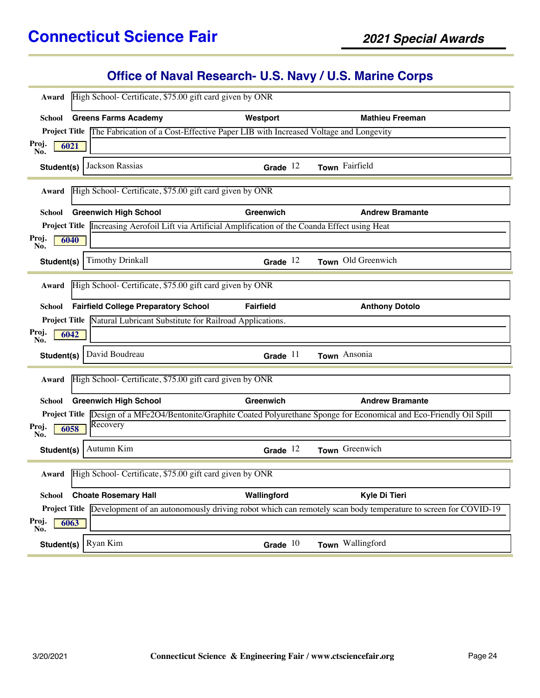# **Office of Naval Research- U.S. Navy / U.S. Marine Corps**

|                      | High School- Certificate, \$75.00 gift card given by ONR                                            |                  |                                                                                                                                   |
|----------------------|-----------------------------------------------------------------------------------------------------|------------------|-----------------------------------------------------------------------------------------------------------------------------------|
| Award                |                                                                                                     |                  |                                                                                                                                   |
| School               | <b>Greens Farms Academy</b>                                                                         | Westport         | <b>Mathieu Freeman</b>                                                                                                            |
|                      | Project Title The Fabrication of a Cost-Effective Paper LIB with Increased Voltage and Longevity    |                  |                                                                                                                                   |
| Proj.<br>6021<br>No. |                                                                                                     |                  |                                                                                                                                   |
| Student(s)           | Jackson Rassias                                                                                     | Grade $12$       | Town Fairfield                                                                                                                    |
| Award                | High School- Certificate, \$75.00 gift card given by ONR                                            |                  |                                                                                                                                   |
| School               | <b>Greenwich High School</b>                                                                        | Greenwich        | <b>Andrew Bramante</b>                                                                                                            |
|                      | Project Title Increasing Aerofoil Lift via Artificial Amplification of the Coanda Effect using Heat |                  |                                                                                                                                   |
| Proj.<br>6040<br>No. |                                                                                                     |                  |                                                                                                                                   |
| Student(s)           | <b>Timothy Drinkall</b>                                                                             | Grade $12$       | Town Old Greenwich                                                                                                                |
| Award                | High School- Certificate, \$75.00 gift card given by ONR                                            |                  |                                                                                                                                   |
| School               | <b>Fairfield College Preparatory School</b>                                                         | <b>Fairfield</b> | <b>Anthony Dotolo</b>                                                                                                             |
| <b>Project Title</b> | Natural Lubricant Substitute for Railroad Applications.                                             |                  |                                                                                                                                   |
| Proj.<br>6042<br>No. |                                                                                                     |                  |                                                                                                                                   |
| Student(s)           | David Boudreau                                                                                      | Grade $11$       | Town Ansonia                                                                                                                      |
| Award                | High School- Certificate, \$75.00 gift card given by ONR                                            |                  |                                                                                                                                   |
|                      |                                                                                                     |                  |                                                                                                                                   |
| School               | <b>Greenwich High School</b>                                                                        | Greenwich        | <b>Andrew Bramante</b>                                                                                                            |
|                      |                                                                                                     |                  | Project Title Design of a MFe2O4/Bentonite/Graphite Coated Polyurethane Sponge for Economical and Eco-Friendly Oil Spill          |
| Proj.<br>6058<br>No. | Recovery                                                                                            |                  |                                                                                                                                   |
| Student(s)           | Autumn Kim                                                                                          | Grade $12$       | Town Greenwich                                                                                                                    |
| Award                | High School- Certificate, \$75.00 gift card given by ONR                                            |                  |                                                                                                                                   |
| School               | <b>Choate Rosemary Hall</b>                                                                         | Wallingford      | Kyle Di Tieri                                                                                                                     |
|                      |                                                                                                     |                  | <b>Project Title</b> Development of an autonomously driving robot which can remotely scan body temperature to screen for COVID-19 |
| Proj.<br>6063<br>No. |                                                                                                     |                  |                                                                                                                                   |
| Student(s)           | Ryan Kim                                                                                            | Grade $10$       | Town Wallingford                                                                                                                  |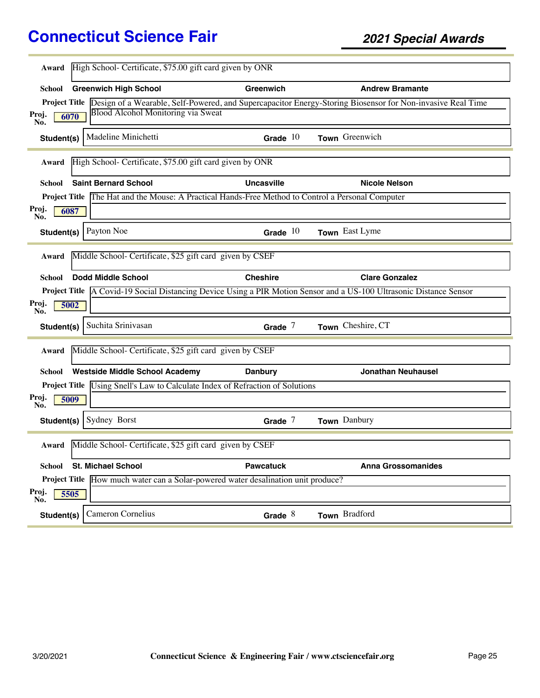| Award        | High School- Certificate, \$75.00 gift card given by ONR                                          |                   |                                                                                                                          |
|--------------|---------------------------------------------------------------------------------------------------|-------------------|--------------------------------------------------------------------------------------------------------------------------|
|              |                                                                                                   |                   |                                                                                                                          |
| School       | <b>Greenwich High School</b>                                                                      | Greenwich         | <b>Andrew Bramante</b>                                                                                                   |
|              |                                                                                                   |                   | Project Title Design of a Wearable, Self-Powered, and Supercapacitor Energy-Storing Biosensor for Non-invasive Real Time |
| Proj.<br>No. | Blood Alcohol Monitoring via Sweat<br>6070                                                        |                   |                                                                                                                          |
| Student(s)   | Madeline Minichetti                                                                               | Grade $10$        | Town Greenwich                                                                                                           |
| Award        | High School- Certificate, \$75.00 gift card given by ONR                                          |                   |                                                                                                                          |
| School       | <b>Saint Bernard School</b>                                                                       | <b>Uncasville</b> | <b>Nicole Nelson</b>                                                                                                     |
|              | Project Title The Hat and the Mouse: A Practical Hands-Free Method to Control a Personal Computer |                   |                                                                                                                          |
| Proj.<br>No. | 6087                                                                                              |                   |                                                                                                                          |
| Student(s)   | Payton Noe                                                                                        | Grade $10$        | Town East Lyme                                                                                                           |
| Award        | Middle School- Certificate, \$25 gift card given by CSEF                                          |                   |                                                                                                                          |
| School       | <b>Dodd Middle School</b>                                                                         | <b>Cheshire</b>   | <b>Clare Gonzalez</b>                                                                                                    |
|              |                                                                                                   |                   | Project Title A Covid-19 Social Distancing Device Using a PIR Motion Sensor and a US-100 Ultrasonic Distance Sensor      |
| Proj.<br>No. | 5002                                                                                              |                   |                                                                                                                          |
| Student(s)   | Suchita Srinivasan                                                                                | Grade $7$         | Town Cheshire, CT                                                                                                        |
| Award        | Middle School- Certificate, \$25 gift card given by CSEF                                          |                   |                                                                                                                          |
| School       | <b>Westside Middle School Academy</b>                                                             | <b>Danbury</b>    | <b>Jonathan Neuhausel</b>                                                                                                |
|              | Project Title Using Snell's Law to Calculate Index of Refraction of Solutions                     |                   |                                                                                                                          |
| Proj.<br>No. | 5009                                                                                              |                   |                                                                                                                          |
| Student(s)   | Sydney Borst                                                                                      | Grade $7$         | Town Danbury                                                                                                             |
| Award        | Middle School- Certificate, \$25 gift card given by CSEF                                          |                   |                                                                                                                          |
| School       | <b>St. Michael School</b>                                                                         | <b>Pawcatuck</b>  | <b>Anna Grossomanides</b>                                                                                                |
|              | Project Title How much water can a Solar-powered water desalination unit produce?                 |                   |                                                                                                                          |
| Proj.<br>No. | 5505                                                                                              |                   |                                                                                                                          |
| Student(s)   | Cameron Cornelius                                                                                 | Grade $8$         | Town Bradford                                                                                                            |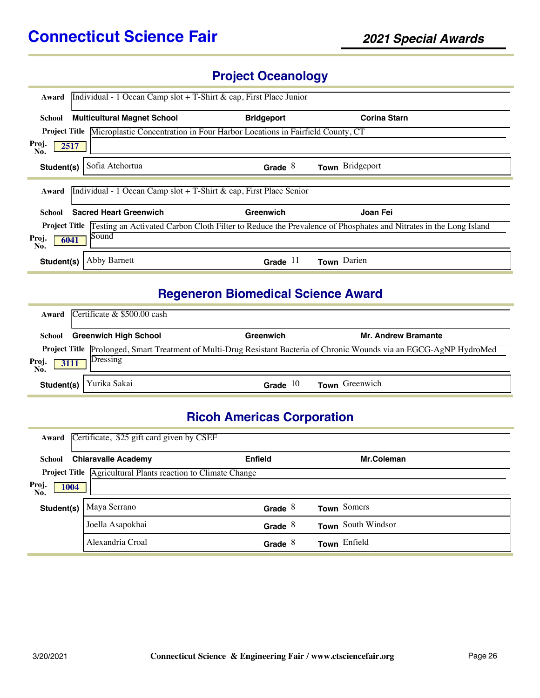# **Project Oceanology**

| Award                                                                                                                                   | Individual - 1 Ocean Camp slot + T-Shirt & cap, First Place Junior                               |                   |                     |  |  |
|-----------------------------------------------------------------------------------------------------------------------------------------|--------------------------------------------------------------------------------------------------|-------------------|---------------------|--|--|
| School                                                                                                                                  | <b>Multicultural Magnet School</b>                                                               | <b>Bridgeport</b> | <b>Corina Starn</b> |  |  |
|                                                                                                                                         | <b>Project Title Microplastic Concentration in Four Harbor Locations in Fairfield County, CT</b> |                   |                     |  |  |
| Proj.<br>2517<br>No.                                                                                                                    |                                                                                                  |                   |                     |  |  |
| Student(s)                                                                                                                              | Sofia Atehortua                                                                                  | Grade $8$         | Town Bridgeport     |  |  |
| Award                                                                                                                                   | Individual - 1 Ocean Camp slot + T-Shirt & cap, First Place Senior                               |                   |                     |  |  |
| School                                                                                                                                  | <b>Sacred Heart Greenwich</b>                                                                    | Greenwich         | Joan Fei            |  |  |
| Testing an Activated Carbon Cloth Filter to Reduce the Prevalence of Phosphates and Nitrates in the Long Island<br><b>Project Title</b> |                                                                                                  |                   |                     |  |  |
| Sound<br>Proj.<br>6041<br>No.                                                                                                           |                                                                                                  |                   |                     |  |  |
| Student(s)                                                                                                                              | Abby Barnett                                                                                     | -11<br>Grade      | Town Darien         |  |  |

# **Regeneron Biomedical Science Award**

| Award             | Certificate & \$500.00 cash  |            |                                                                                                                       |
|-------------------|------------------------------|------------|-----------------------------------------------------------------------------------------------------------------------|
| School            | <b>Greenwich High School</b> | Greenwich  | <b>Mr. Andrew Bramante</b>                                                                                            |
| Proj.<br>3111     | Dressing                     |            | Project Title Prolonged, Smart Treatment of Multi-Drug Resistant Bacteria of Chronic Wounds via an EGCG-AgNP HydroMed |
| No.<br>Student(s) | Yurika Sakai                 | Grade $10$ | Town Greenwich                                                                                                        |

# **Ricoh Americas Corporation**

| Award                | Certificate, \$25 gift card given by CSEF                    |                |                    |  |  |
|----------------------|--------------------------------------------------------------|----------------|--------------------|--|--|
| School               | <b>Chiaravalle Academy</b>                                   | <b>Enfield</b> | Mr.Coleman         |  |  |
|                      | Project Title Agricultural Plants reaction to Climate Change |                |                    |  |  |
| Proj.<br>1004<br>No. |                                                              |                |                    |  |  |
| Student(s)           | Maya Serrano                                                 | Grade $8$      | Town Somers        |  |  |
|                      | Joella Asapokhai                                             | Grade $8$      | Town South Windsor |  |  |
|                      | Alexandria Croal                                             | Grade $8$      | Town Enfield       |  |  |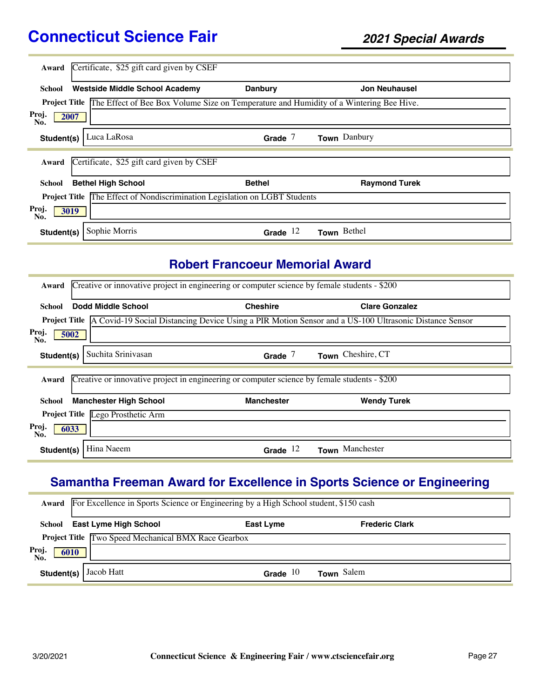| Award                             | Certificate, \$25 gift card given by CSEF                                              |                |                      |  |
|-----------------------------------|----------------------------------------------------------------------------------------|----------------|----------------------|--|
| School                            | <b>Westside Middle School Academy</b>                                                  | <b>Danbury</b> | <b>Jon Neuhausel</b> |  |
| <b>Project Title</b>              | The Effect of Bee Box Volume Size on Temperature and Humidity of a Wintering Bee Hive. |                |                      |  |
| Proj.<br>2007<br>No.              |                                                                                        |                |                      |  |
| Student(s)                        | Luca LaRosa                                                                            | Grade $7$      | Town Danbury         |  |
| Award                             | Certificate, \$25 gift card given by CSEF                                              |                |                      |  |
| School                            | <b>Bethel High School</b>                                                              | <b>Bethel</b>  | <b>Raymond Turek</b> |  |
|                                   | <b>Project Title The Effect of Nondiscrimination Legislation on LGBT Students</b>      |                |                      |  |
| Proj.<br>$\overline{30}19$<br>No. |                                                                                        |                |                      |  |
| Student(s)                        | Sophie Morris                                                                          | Grade $12$     | Town Bethel          |  |

#### **Robert Francoeur Memorial Award**

| Award        | Creative or innovative project in engineering or computer science by female students - \$200 |                                                                                              |                                                                                                                            |  |  |
|--------------|----------------------------------------------------------------------------------------------|----------------------------------------------------------------------------------------------|----------------------------------------------------------------------------------------------------------------------------|--|--|
| School       | Dodd Middle School                                                                           | <b>Cheshire</b>                                                                              | <b>Clare Gonzalez</b>                                                                                                      |  |  |
|              |                                                                                              |                                                                                              | <b>Project Title</b> A Covid-19 Social Distancing Device Using a PIR Motion Sensor and a US-100 Ultrasonic Distance Sensor |  |  |
| Proj.<br>No. | 5002                                                                                         |                                                                                              |                                                                                                                            |  |  |
| Student(s)   | Suchita Srinivasan                                                                           | Grade $7$                                                                                    | Town Cheshire, CT                                                                                                          |  |  |
|              |                                                                                              |                                                                                              |                                                                                                                            |  |  |
| Award        |                                                                                              | Creative or innovative project in engineering or computer science by female students - \$200 |                                                                                                                            |  |  |
| School       | <b>Manchester High School</b>                                                                | <b>Manchester</b>                                                                            | <b>Wendy Turek</b>                                                                                                         |  |  |
|              | Project Title Lego Prosthetic Arm                                                            |                                                                                              |                                                                                                                            |  |  |
| Proj.<br>No. | 6033                                                                                         |                                                                                              |                                                                                                                            |  |  |
| Student(s)   | Hina Naeem                                                                                   | Grade $12$                                                                                   | Town Manchester                                                                                                            |  |  |

# **Samantha Freeman Award for Excellence in Sports Science or Engineering**

|                      | <b>Award</b> For Excellence in Sports Science or Engineering by a High School student, \$150 cash |            |                       |  |  |
|----------------------|---------------------------------------------------------------------------------------------------|------------|-----------------------|--|--|
|                      | School East Lyme High School                                                                      | East Lyme  | <b>Frederic Clark</b> |  |  |
|                      | <b>Project Title Two Speed Mechanical BMX Race Gearbox</b>                                        |            |                       |  |  |
| Proj.<br>No.<br>6010 |                                                                                                   |            |                       |  |  |
| Student(s)           | Jacob Hatt                                                                                        | Grade $10$ | Town Salem            |  |  |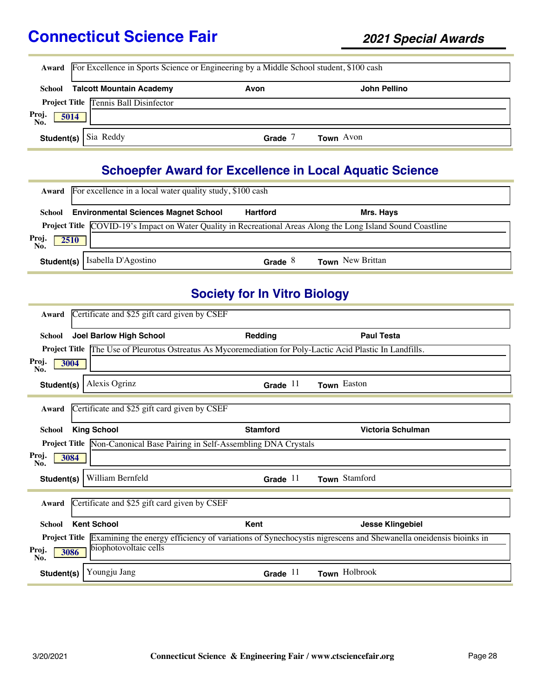|                                              | <b>Award</b> For Excellence in Sports Science or Engineering by a Middle School student, \$100 cash |                  |  |  |  |
|----------------------------------------------|-----------------------------------------------------------------------------------------------------|------------------|--|--|--|
| <b>Talcott Mountain Academy</b><br>School    | Avon                                                                                                | John Pellino     |  |  |  |
| <b>Project Title Tennis Ball Disinfector</b> |                                                                                                     |                  |  |  |  |
| Proj.<br>No.<br>5014                         |                                                                                                     |                  |  |  |  |
| Sia Reddy<br>Student(s)                      | Grade                                                                                               | <b>Town</b> Avon |  |  |  |

# **Schoepfer Award for Excellence in Local Aquatic Science**

|            | Award For excellence in a local water quality study, \$100 cash                                                     |                 |                         |  |  |
|------------|---------------------------------------------------------------------------------------------------------------------|-----------------|-------------------------|--|--|
| School     | <b>Environmental Sciences Magnet School</b>                                                                         | <b>Hartford</b> | Mrs. Hays               |  |  |
| Proj.      | <b>Project Title COVID-19's Impact on Water Quality in Recreational Areas Along the Long Island Sound Coastline</b> |                 |                         |  |  |
| 2510       |                                                                                                                     |                 |                         |  |  |
| Student(s) | Isabella D'Agostino                                                                                                 | Grade $8$       | <b>Town</b> New Brittan |  |  |

## **Society for In Vitro Biology**

| Award         | Certificate and \$25 gift card given by CSEF                                                                      |                 |                                                                                                                                     |
|---------------|-------------------------------------------------------------------------------------------------------------------|-----------------|-------------------------------------------------------------------------------------------------------------------------------------|
| <b>School</b> | <b>Joel Barlow High School</b>                                                                                    | Redding         | <b>Paul Testa</b>                                                                                                                   |
|               | <b>Project Title The Use of Pleurotus Ostreatus As Mycoremediation for Poly-Lactic Acid Plastic In Landfills.</b> |                 |                                                                                                                                     |
| Proj.<br>No.  | 3004                                                                                                              |                 |                                                                                                                                     |
| Student(s)    | Alexis Ogrinz                                                                                                     | Grade $11$      | Town Easton                                                                                                                         |
| Award         | Certificate and \$25 gift card given by CSEF                                                                      |                 |                                                                                                                                     |
| <b>School</b> | <b>King School</b>                                                                                                | <b>Stamford</b> | Victoria Schulman                                                                                                                   |
|               | <b>Project Title Non-Canonical Base Pairing in Self-Assembling DNA Crystals</b>                                   |                 |                                                                                                                                     |
| Proj.<br>No.  | 3084                                                                                                              |                 |                                                                                                                                     |
| Student(s)    | William Bernfeld                                                                                                  | Grade $11$      | Town Stamford                                                                                                                       |
| Award         | Certificate and \$25 gift card given by CSEF                                                                      |                 |                                                                                                                                     |
| <b>School</b> | <b>Kent School</b>                                                                                                | Kent            | <b>Jesse Klingebiel</b>                                                                                                             |
|               |                                                                                                                   |                 | <b>Project Title</b> Examining the energy efficiency of variations of Synechocystis nigrescens and Shewanella oneidensis bioinks in |
| Proj.<br>No.  | biophotovoltaic cells<br>3086                                                                                     |                 |                                                                                                                                     |
| Student(s)    | Youngju Jang                                                                                                      | Grade $11$      | Town Holbrook                                                                                                                       |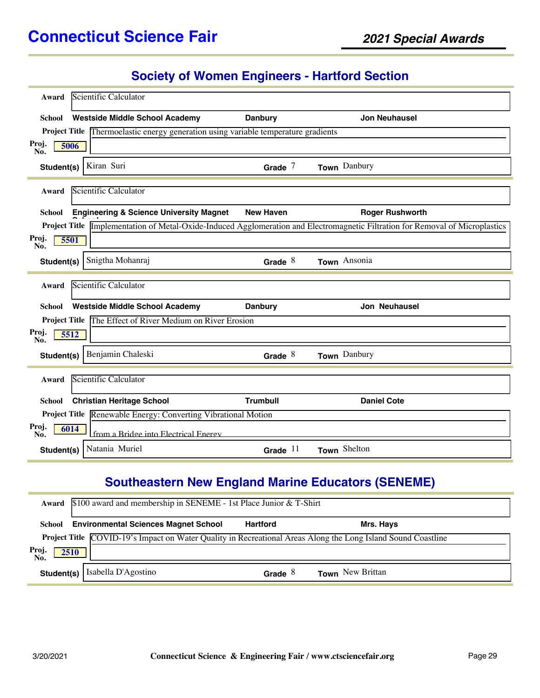#### **Society of Women Engineers - Hartford Section**

| Award         | Scientific Calculator                                                              |                  |                                                                                                                                      |
|---------------|------------------------------------------------------------------------------------|------------------|--------------------------------------------------------------------------------------------------------------------------------------|
| School        | <b>Westside Middle School Academy</b>                                              | <b>Danbury</b>   | <b>Jon Neuhausel</b>                                                                                                                 |
|               | Project Title Thermoelastic energy generation using variable temperature gradients |                  |                                                                                                                                      |
| Proj.<br>No.  | 5006                                                                               |                  |                                                                                                                                      |
| Student(s)    | Kiran Suri                                                                         | Grade $7$        | Town Danbury                                                                                                                         |
| Award         | Scientific Calculator                                                              |                  |                                                                                                                                      |
| School        | <b>Engineering &amp; Science University Magnet</b>                                 | <b>New Haven</b> | <b>Roger Rushworth</b>                                                                                                               |
|               |                                                                                    |                  | Project Title <i>Implementation</i> of Metal-Oxide-Induced Agglomeration and Electromagnetic Filtration for Removal of Microplastics |
| Proj.<br>No.  | 5501                                                                               |                  |                                                                                                                                      |
| Student(s)    | Snigtha Mohanraj                                                                   | Grade $8$        | Town Ansonia                                                                                                                         |
|               |                                                                                    |                  |                                                                                                                                      |
| Award         | Scientific Calculator                                                              |                  |                                                                                                                                      |
| <b>School</b> | <b>Westside Middle School Academy</b>                                              | <b>Danbury</b>   | <b>Jon Neuhausel</b>                                                                                                                 |
|               | Project Title The Effect of River Medium on River Erosion                          |                  |                                                                                                                                      |
| Proj.<br>No.  | 5512                                                                               |                  |                                                                                                                                      |
| Student(s)    | Benjamin Chaleski                                                                  | Grade $8$        | Town Danbury                                                                                                                         |
| Award         | Scientific Calculator                                                              |                  |                                                                                                                                      |
| <b>School</b> | <b>Christian Heritage School</b>                                                   | <b>Trumbull</b>  | <b>Daniel Cote</b>                                                                                                                   |
|               | Project Title Renewable Energy: Converting Vibrational Motion                      |                  |                                                                                                                                      |
| Proj.<br>No.  | 6014<br>from a Bridge into Electrical Energy                                       |                  |                                                                                                                                      |
| Student(s)    | Natania Muriel                                                                     | Grade $11$       | Town Shelton                                                                                                                         |

# **Southeastern New England Marine Educators (SENEME)**

|                      | <b>Award</b> $$100$ award and membership in SENEME - 1st Place Junior & T-Shirt                                     |                 |                         |  |  |
|----------------------|---------------------------------------------------------------------------------------------------------------------|-----------------|-------------------------|--|--|
| School               | <b>Environmental Sciences Magnet School</b>                                                                         | <b>Hartford</b> | Mrs. Hays               |  |  |
|                      | <b>Project Title</b> COVID-19's Impact on Water Quality in Recreational Areas Along the Long Island Sound Coastline |                 |                         |  |  |
| Proj.<br>2510<br>No. |                                                                                                                     |                 |                         |  |  |
| Student(s)           | Isabella D'Agostino                                                                                                 | Grade $8$       | <b>Town</b> New Brittan |  |  |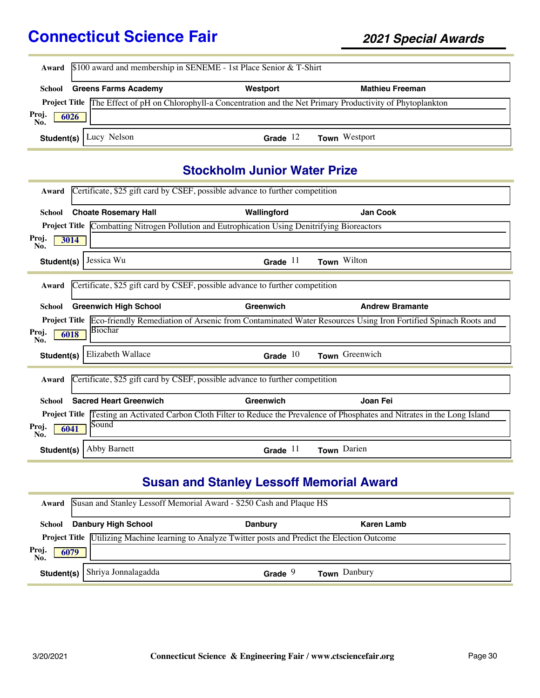|                      | Award \$100 award and membership in SENEME - 1st Place Senior & T-Shirt                                                |            |                        |  |  |
|----------------------|------------------------------------------------------------------------------------------------------------------------|------------|------------------------|--|--|
| School               | <b>Greens Farms Academy</b>                                                                                            | Westport   | <b>Mathieu Freeman</b> |  |  |
|                      | <b>Project Title The Effect of pH on Chlorophyll-a Concentration and the Net Primary Productivity of Phytoplankton</b> |            |                        |  |  |
| Proj.<br>No.<br>6026 |                                                                                                                        |            |                        |  |  |
|                      | <b>Student(s)</b> Lucy Nelson                                                                                          | Grade $12$ | <b>Town</b> Westport   |  |  |

## **Stockholm Junior Water Prize**

| Award                                                                                                                                | Certificate, \$25 gift card by CSEF, possible advance to further competition |                                                                                                      |                                                                                                                                   |  |  |
|--------------------------------------------------------------------------------------------------------------------------------------|------------------------------------------------------------------------------|------------------------------------------------------------------------------------------------------|-----------------------------------------------------------------------------------------------------------------------------------|--|--|
| School                                                                                                                               | <b>Choate Rosemary Hall</b>                                                  | Wallingford                                                                                          | Jan Cook                                                                                                                          |  |  |
|                                                                                                                                      |                                                                              | <b>Project Title Combatting Nitrogen Pollution and Eutrophication Using Denitrifying Bioreactors</b> |                                                                                                                                   |  |  |
| Proj.<br>No.                                                                                                                         | 3014                                                                         |                                                                                                      |                                                                                                                                   |  |  |
| Student(s)                                                                                                                           | Jessica Wu                                                                   | Grade $11$                                                                                           | Town Wilton                                                                                                                       |  |  |
|                                                                                                                                      |                                                                              |                                                                                                      |                                                                                                                                   |  |  |
| Award                                                                                                                                |                                                                              | Certificate, \$25 gift card by CSEF, possible advance to further competition                         |                                                                                                                                   |  |  |
| School                                                                                                                               | <b>Greenwich High School</b>                                                 | Greenwich                                                                                            | <b>Andrew Bramante</b>                                                                                                            |  |  |
|                                                                                                                                      |                                                                              |                                                                                                      | <b>Project Title</b> Eco-friendly Remediation of Arsenic from Contaminated Water Resources Using Iron Fortified Spinach Roots and |  |  |
| Proj.<br>No.                                                                                                                         | Biochar<br>6018                                                              |                                                                                                      |                                                                                                                                   |  |  |
| Student(s)                                                                                                                           | Elizabeth Wallace                                                            | Grade $10$                                                                                           | Town Greenwich                                                                                                                    |  |  |
|                                                                                                                                      |                                                                              |                                                                                                      |                                                                                                                                   |  |  |
| Award                                                                                                                                |                                                                              | Certificate, \$25 gift card by CSEF, possible advance to further competition                         |                                                                                                                                   |  |  |
| School                                                                                                                               | <b>Sacred Heart Greenwich</b>                                                | Greenwich                                                                                            | Joan Fei                                                                                                                          |  |  |
| <b>Project Title</b> Testing an Activated Carbon Cloth Filter to Reduce the Prevalence of Phosphates and Nitrates in the Long Island |                                                                              |                                                                                                      |                                                                                                                                   |  |  |
| Proj.<br>No.                                                                                                                         | Sound<br>6041                                                                |                                                                                                      |                                                                                                                                   |  |  |
| Student(s)                                                                                                                           | Abby Barnett                                                                 | Grade $11$                                                                                           | Town Darien                                                                                                                       |  |  |

# **Susan and Stanley Lessoff Memorial Award**

| Award               | Susan and Stanley Lessoff Memorial Award - \$250 Cash and Plaque HS                                       |                |                     |  |  |
|---------------------|-----------------------------------------------------------------------------------------------------------|----------------|---------------------|--|--|
| School              | <b>Danbury High School</b>                                                                                | <b>Danbury</b> | Karen Lamb          |  |  |
|                     | Project Title <i>Utilizing Machine learning to Analyze Twitter posts and Predict the Election Outcome</i> |                |                     |  |  |
| Proj<br>6079<br>No. |                                                                                                           |                |                     |  |  |
|                     | Student(s)   Shriya Jonnalagadda                                                                          | Grade $9$      | <b>Town</b> Danbury |  |  |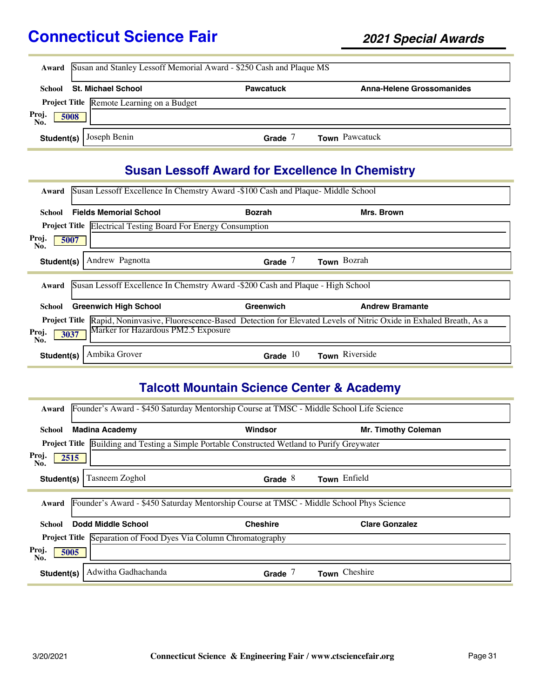|                      | Award Susan and Stanley Lessoff Memorial Award - \$250 Cash and Plaque MS |                  |                                  |  |  |
|----------------------|---------------------------------------------------------------------------|------------------|----------------------------------|--|--|
| School               | <b>St. Michael School</b>                                                 | <b>Pawcatuck</b> | <b>Anna-Helene Grossomanides</b> |  |  |
|                      | Project Title Remote Learning on a Budget                                 |                  |                                  |  |  |
| Proj.<br>No.<br>5008 |                                                                           |                  |                                  |  |  |
|                      | <b>Student(s)</b> $\int$ Joseph Benin                                     | Grade            | <b>Town</b> Pawcatuck            |  |  |

# **Susan Lessoff Award for Excellence In Chemistry**

| Award                                                                                                                                | Susan Lessoff Excellence In Chemstry Award -\$100 Cash and Plaque- Middle School |               |                        |  |
|--------------------------------------------------------------------------------------------------------------------------------------|----------------------------------------------------------------------------------|---------------|------------------------|--|
| School                                                                                                                               | <b>Fields Memorial School</b>                                                    | <b>Bozrah</b> | Mrs. Brown             |  |
|                                                                                                                                      | <b>Project Title Electrical Testing Board For Energy Consumption</b>             |               |                        |  |
| Proj.<br>5007<br>No.                                                                                                                 |                                                                                  |               |                        |  |
| Student(s)                                                                                                                           | Andrew Pagnotta                                                                  | Grade $7$     | Town Bozrah            |  |
| Award                                                                                                                                | Susan Lessoff Excellence In Chemstry Award -\$200 Cash and Plaque - High School  |               |                        |  |
| School                                                                                                                               | <b>Greenwich High School</b>                                                     | Greenwich     | <b>Andrew Bramante</b> |  |
| Rapid, Noninvasive, Fluorescence-Based Detection for Elevated Levels of Nitric Oxide in Exhaled Breath, As a<br><b>Project Title</b> |                                                                                  |               |                        |  |
| Proj.<br>3037<br>No.                                                                                                                 | Marker for Hazardous PM2.5 Exposure                                              |               |                        |  |
| Student(s)                                                                                                                           | Ambika Grover                                                                    | Grade $10$    | Town Riverside         |  |

### **Talcott Mountain Science Center & Academy**

| Award                | Founder's Award - \$450 Saturday Mentorship Course at TMSC - Middle School Life Science |                 |                            |  |  |
|----------------------|-----------------------------------------------------------------------------------------|-----------------|----------------------------|--|--|
| School               | <b>Madina Academy</b>                                                                   | Windsor         | <b>Mr. Timothy Coleman</b> |  |  |
| <b>Project Title</b> | Building and Testing a Simple Portable Constructed Wetland to Purify Greywater          |                 |                            |  |  |
| Proj.<br>2515<br>No. |                                                                                         |                 |                            |  |  |
| Student(s)           | Tasneem Zoghol                                                                          | Grade $8$       | Town Enfield               |  |  |
| Award                | Founder's Award - \$450 Saturday Mentorship Course at TMSC - Middle School Phys Science |                 |                            |  |  |
| School               | Dodd Middle School                                                                      | <b>Cheshire</b> | <b>Clare Gonzalez</b>      |  |  |
|                      | <b>Project Title Separation of Food Dyes Via Column Chromatography</b>                  |                 |                            |  |  |
| Proj.<br>5005<br>No. |                                                                                         |                 |                            |  |  |
| Student(s)           | Adwitha Gadhachanda                                                                     | Grade $7$       | Town Cheshire              |  |  |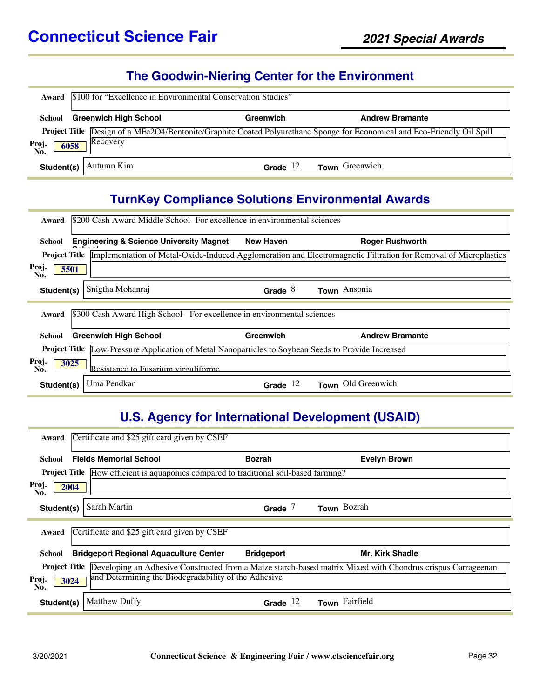#### **The Goodwin-Niering Center for the Environment**

| Award                                                                                                                                                        | \$100 for "Excellence in Environmental Conservation Studies"        |            |                       |  |  |
|--------------------------------------------------------------------------------------------------------------------------------------------------------------|---------------------------------------------------------------------|------------|-----------------------|--|--|
| School                                                                                                                                                       | <b>Greenwich High School</b><br>Greenwich<br><b>Andrew Bramante</b> |            |                       |  |  |
| Project Title Design of a MFe2O4/Bentonite/Graphite Coated Polyurethane Sponge for Economical and Eco-Friendly Oil Spill<br>Recovery<br>Proj.<br>6058<br>No. |                                                                     |            |                       |  |  |
| Student(s)                                                                                                                                                   | Autumn Kim                                                          | Grade $12$ | <b>Town</b> Greenwich |  |  |

## **TurnKey Compliance Solutions Environmental Awards**

| \$200 Cash Award Middle School- For excellence in environmental sciences<br>Award                          |                  |                                                                                                                                      |  |  |
|------------------------------------------------------------------------------------------------------------|------------------|--------------------------------------------------------------------------------------------------------------------------------------|--|--|
| <b>Engineering &amp; Science University Magnet</b><br>School                                               | <b>New Haven</b> | <b>Roger Rushworth</b>                                                                                                               |  |  |
|                                                                                                            |                  | <b>Project Title</b> Implementation of Metal-Oxide-Induced Agglomeration and Electromagnetic Filtration for Removal of Microplastics |  |  |
| Proj.<br>5501<br>No.                                                                                       |                  |                                                                                                                                      |  |  |
| Snigtha Mohanraj<br>Student(s)                                                                             | Grade $8$        | Town Ansonia                                                                                                                         |  |  |
| \$300 Cash Award High School- For excellence in environmental sciences<br>Award                            |                  |                                                                                                                                      |  |  |
| <b>Greenwich High School</b><br>School                                                                     | Greenwich        | <b>Andrew Bramante</b>                                                                                                               |  |  |
| <b>Project Title Low-Pressure Application of Metal Nanoparticles to Soybean Seeds to Provide Increased</b> |                  |                                                                                                                                      |  |  |
| Proj.<br>3025<br>Resistance to Fusarium virguliforme<br>No.                                                |                  |                                                                                                                                      |  |  |
| Uma Pendkar<br>Student(s)                                                                                  | Grade $12$       | Town Old Greenwich                                                                                                                   |  |  |

#### **U.S. Agency for International Development (USAID)**

| Certificate and \$25 gift card given by CSEF<br>Award                                                                            |                                              |                        |  |  |
|----------------------------------------------------------------------------------------------------------------------------------|----------------------------------------------|------------------------|--|--|
| <b>Fields Memorial School</b><br>School                                                                                          | <b>Bozrah</b>                                | <b>Evelyn Brown</b>    |  |  |
| Project Title How efficient is aquaponics compared to traditional soil-based farming?                                            |                                              |                        |  |  |
| Proj.<br>2004<br>No.                                                                                                             |                                              |                        |  |  |
| Sarah Martin<br>Student(s)                                                                                                       | Grade $7$                                    | Town Bozrah            |  |  |
| Award                                                                                                                            | Certificate and \$25 gift card given by CSEF |                        |  |  |
| <b>Bridgeport Regional Aquaculture Center</b><br>School                                                                          | <b>Bridgeport</b>                            | <b>Mr. Kirk Shadle</b> |  |  |
| <b>Project Title</b> Developing an Adhesive Constructed from a Maize starch-based matrix Mixed with Chondrus crispus Carrageenan |                                              |                        |  |  |
| and Determining the Biodegradability of the Adhesive<br>Proj.<br>3024<br>No.                                                     |                                              |                        |  |  |
| <b>Matthew Duffy</b><br>Student(s)                                                                                               | Grade $12$                                   | Town Fairfield         |  |  |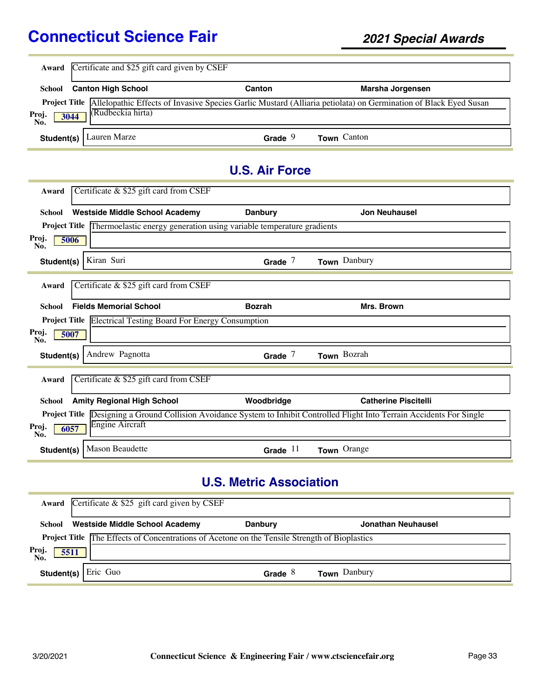| Award                | Certificate and \$25 gift card given by CSEF                                       |                       |                                                                                                                               |
|----------------------|------------------------------------------------------------------------------------|-----------------------|-------------------------------------------------------------------------------------------------------------------------------|
| School               | <b>Canton High School</b>                                                          | Canton                | Marsha Jorgensen                                                                                                              |
|                      |                                                                                    |                       | Project Title Allelopathic Effects of Invasive Species Garlic Mustard (Alliaria petiolata) on Germination of Black Eyed Susan |
| Proj.<br>3044<br>No. | (Rudbeckia hirta)                                                                  |                       |                                                                                                                               |
| Student(s)           | Lauren Marze                                                                       | Grade $9$             | Town Canton                                                                                                                   |
|                      |                                                                                    | <b>U.S. Air Force</b> |                                                                                                                               |
| Award                | Certificate & \$25 gift card from CSEF                                             |                       |                                                                                                                               |
| <b>School</b>        | <b>Westside Middle School Academy</b>                                              | <b>Danbury</b>        | <b>Jon Neuhausel</b>                                                                                                          |
|                      | Project Title Thermoelastic energy generation using variable temperature gradients |                       |                                                                                                                               |
| Proj.<br>5006<br>No. |                                                                                    |                       |                                                                                                                               |
| Student(s)           | Kiran Suri                                                                         | Grade $7$             | Town Danbury                                                                                                                  |
| Award                | Certificate & \$25 gift card from CSEF                                             |                       |                                                                                                                               |
| <b>School</b>        | <b>Fields Memorial School</b>                                                      | <b>Bozrah</b>         | Mrs. Brown                                                                                                                    |
|                      | <b>Project Title Electrical Testing Board For Energy Consumption</b>               |                       |                                                                                                                               |
| Proj.<br>5007<br>No. |                                                                                    |                       |                                                                                                                               |
| Student(s)           | Andrew Pagnotta                                                                    | Grade $7$             | Town Bozrah                                                                                                                   |
| Award                | Certificate & \$25 gift card from CSEF                                             |                       |                                                                                                                               |
| School               | <b>Amity Regional High School</b>                                                  | Woodbridge            | <b>Catherine Piscitelli</b>                                                                                                   |
| Proj.<br>6057<br>No. | Engine Aircraft                                                                    |                       | Project Title Designing a Ground Collision Avoidance System to Inhibit Controlled Flight Into Terrain Accidents For Single    |
| Student(s)           | <b>Mason Beaudette</b>                                                             | Grade $11$            | Town Orange                                                                                                                   |

## **U.S. Metric Association**

|                     | <b>Award</b> Certificate $\&$ \$25 gift card given by CSEF                                           |                |                     |  |
|---------------------|------------------------------------------------------------------------------------------------------|----------------|---------------------|--|
|                     | School Westside Middle School Academy                                                                | <b>Danbury</b> | Jonathan Neuhausel  |  |
|                     | <b>Project Title The Effects of Concentrations of Acetone on the Tensile Strength of Bioplastics</b> |                |                     |  |
| Proj<br>5511<br>No. |                                                                                                      |                |                     |  |
| Student(s)          | Eric Guo                                                                                             | Grade $8$      | <b>Town</b> Danbury |  |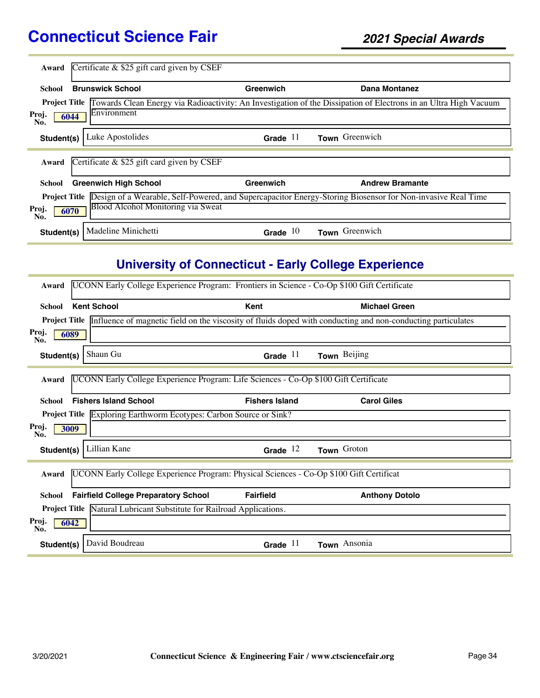| Award                                                                                                                              | Certificate $\&$ \$25 gift card given by CSEF |            |                                                                                                                  |  |
|------------------------------------------------------------------------------------------------------------------------------------|-----------------------------------------------|------------|------------------------------------------------------------------------------------------------------------------|--|
| School                                                                                                                             | <b>Brunswick School</b>                       | Greenwich  | Dana Montanez                                                                                                    |  |
| <b>Project Title</b>                                                                                                               |                                               |            | Towards Clean Energy via Radioactivity: An Investigation of the Dissipation of Electrons in an Ultra High Vacuum |  |
| Proj.<br>6044<br>No.                                                                                                               | Environment                                   |            |                                                                                                                  |  |
| Student(s)                                                                                                                         | Luke Apostolides                              | Grade $11$ | Town Greenwich                                                                                                   |  |
| Award                                                                                                                              | Certificate $\&$ \$25 gift card given by CSEF |            |                                                                                                                  |  |
| School                                                                                                                             | <b>Greenwich High School</b>                  | Greenwich  | <b>Andrew Bramante</b>                                                                                           |  |
| Design of a Wearable, Self-Powered, and Supercapacitor Energy-Storing Biosensor for Non-invasive Real Time<br><b>Project Title</b> |                                               |            |                                                                                                                  |  |
| Blood Alcohol Monitoring via Sweat<br>Proj.<br>6070<br>No.                                                                         |                                               |            |                                                                                                                  |  |
| Student(s)                                                                                                                         | Madeline Minichetti                           | Grade $10$ | Town Greenwich                                                                                                   |  |

# **University of Connecticut - Early College Experience**

| Award         | UCONN Early College Experience Program: Frontiers in Science - Co-Op \$100 Gift Certificate |                                                                                         |                                                                                                                                   |
|---------------|---------------------------------------------------------------------------------------------|-----------------------------------------------------------------------------------------|-----------------------------------------------------------------------------------------------------------------------------------|
| <b>School</b> | <b>Kent School</b>                                                                          | Kent                                                                                    | <b>Michael Green</b>                                                                                                              |
|               |                                                                                             |                                                                                         | <b>Project Title</b> Influence of magnetic field on the viscosity of fluids doped with conducting and non-conducting particulates |
| Proj.<br>No.  | 6089                                                                                        |                                                                                         |                                                                                                                                   |
| Student(s)    | Shaun Gu                                                                                    | Grade $11$                                                                              | Town Beijing                                                                                                                      |
| Award         |                                                                                             | UCONN Early College Experience Program: Life Sciences - Co-Op \$100 Gift Certificate    |                                                                                                                                   |
| <b>School</b> | <b>Fishers Island School</b>                                                                | <b>Fishers Island</b>                                                                   | <b>Carol Giles</b>                                                                                                                |
|               |                                                                                             | <b>Project Title Exploring Earthworm Ecotypes: Carbon Source or Sink?</b>               |                                                                                                                                   |
| Proj.<br>No.  | 3009                                                                                        |                                                                                         |                                                                                                                                   |
| Student(s)    | Lillian Kane                                                                                | Grade $12$                                                                              | Town Groton                                                                                                                       |
| Award         |                                                                                             | UCONN Early College Experience Program: Physical Sciences - Co-Op \$100 Gift Certificat |                                                                                                                                   |
| <b>School</b> | <b>Fairfield College Preparatory School</b>                                                 | Fairfield                                                                               | <b>Anthony Dotolo</b>                                                                                                             |
|               |                                                                                             | <b>Project Title Natural Lubricant Substitute for Railroad Applications.</b>            |                                                                                                                                   |
| Proj.<br>No.  | 6042                                                                                        |                                                                                         |                                                                                                                                   |
| Student(s)    | David Boudreau                                                                              | Grade $11$                                                                              | Town Ansonia                                                                                                                      |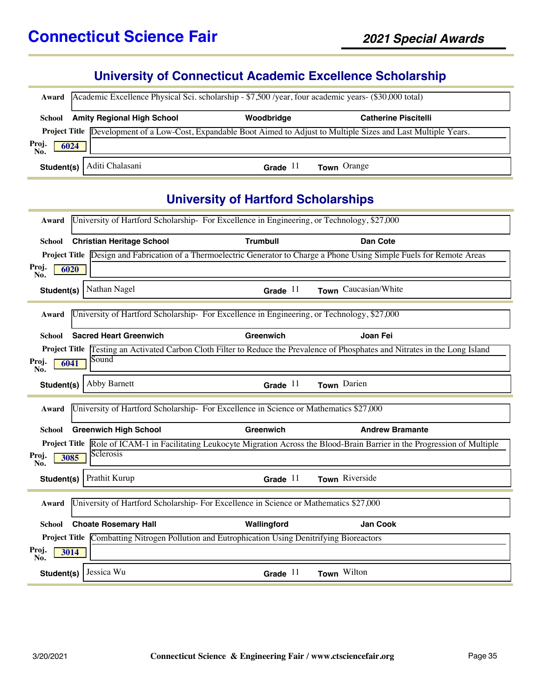#### **University of Connecticut Academic Excellence Scholarship**

|                      | Award   Academic Excellence Physical Sci. scholarship - \$7,500 /year, four academic years- (\$30,000 total) |            |                                                                                                                            |
|----------------------|--------------------------------------------------------------------------------------------------------------|------------|----------------------------------------------------------------------------------------------------------------------------|
|                      | School Amity Regional High School                                                                            | Woodbridge | <b>Catherine Piscitelli</b>                                                                                                |
|                      |                                                                                                              |            | <b>Project Title</b> Development of a Low-Cost, Expandable Boot Aimed to Adjust to Multiple Sizes and Last Multiple Years. |
| Proj.<br>No.<br>6024 |                                                                                                              |            |                                                                                                                            |
| Student(s)           | Aditi Chalasani                                                                                              | Grade $11$ | <b>Town</b> Orange                                                                                                         |

#### **University of Hartford Scholarships**

| Award         |                                  | University of Hartford Scholarship-For Excellence in Engineering, or Technology, \$27,000            |                                                                                                                                       |
|---------------|----------------------------------|------------------------------------------------------------------------------------------------------|---------------------------------------------------------------------------------------------------------------------------------------|
| <b>School</b> | <b>Christian Heritage School</b> | <b>Trumbull</b>                                                                                      | Dan Cote                                                                                                                              |
|               |                                  |                                                                                                      | <b>Project Title</b> Design and Fabrication of a Thermoelectric Generator to Charge a Phone Using Simple Fuels for Remote Areas       |
| Proj.<br>No.  | 6020                             |                                                                                                      |                                                                                                                                       |
| Student(s)    | Nathan Nagel                     | Grade $11$                                                                                           | Town Caucasian/White                                                                                                                  |
| Award         |                                  | University of Hartford Scholarship-For Excellence in Engineering, or Technology, \$27,000            |                                                                                                                                       |
| School        | <b>Sacred Heart Greenwich</b>    | Greenwich                                                                                            | Joan Fei                                                                                                                              |
|               |                                  |                                                                                                      | <b>Project Title</b> Testing an Activated Carbon Cloth Filter to Reduce the Prevalence of Phosphates and Nitrates in the Long Island  |
| Proj.<br>No.  | Sound<br>6041                    |                                                                                                      |                                                                                                                                       |
| Student(s)    | Abby Barnett                     | Grade $11$                                                                                           | Town Darien                                                                                                                           |
|               |                                  |                                                                                                      |                                                                                                                                       |
| Award         |                                  | University of Hartford Scholarship- For Excellence in Science or Mathematics \$27,000                |                                                                                                                                       |
| <b>School</b> | <b>Greenwich High School</b>     | Greenwich                                                                                            | <b>Andrew Bramante</b>                                                                                                                |
|               |                                  |                                                                                                      | <b>Project Title</b> Role of ICAM-1 in Facilitating Leukocyte Migration Across the Blood-Brain Barrier in the Progression of Multiple |
| Proj.<br>No.  | Sclerosis<br>3085                |                                                                                                      |                                                                                                                                       |
| Student(s)    | Prathit Kurup                    | Grade $11$                                                                                           | Town Riverside                                                                                                                        |
| Award         |                                  | University of Hartford Scholarship- For Excellence in Science or Mathematics \$27,000                |                                                                                                                                       |
| <b>School</b> | <b>Choate Rosemary Hall</b>      | Wallingford                                                                                          | Jan Cook                                                                                                                              |
|               |                                  | <b>Project Title</b> Combatting Nitrogen Pollution and Eutrophication Using Denitrifying Bioreactors |                                                                                                                                       |
| Proj.<br>No.  | 3014                             |                                                                                                      |                                                                                                                                       |
| Student(s)    | Jessica Wu                       | Grade $11$                                                                                           | Town Wilton                                                                                                                           |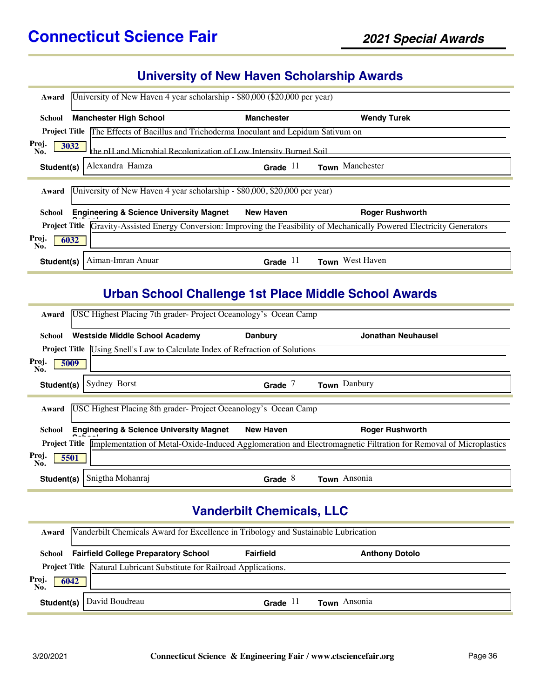#### **University of New Haven Scholarship Awards**

| University of New Haven 4 year scholarship - \$80,000 (\$20,000 per year)<br>Award                                                   |                                                                                               |                        |  |
|--------------------------------------------------------------------------------------------------------------------------------------|-----------------------------------------------------------------------------------------------|------------------------|--|
| <b>Manchester High School</b><br>School                                                                                              | <b>Manchester</b>                                                                             | <b>Wendy Turek</b>     |  |
|                                                                                                                                      | <b>Project Title</b> The Effects of Bacillus and Trichoderma Inoculant and Lepidum Sativum on |                        |  |
| Proj.<br>3032<br>No.                                                                                                                 | the nH and Microbial Recolonization of Low Intensity Burned Soil                              |                        |  |
| Alexandra Hamza<br>Student(s)                                                                                                        | Grade $11$                                                                                    | Town Manchester        |  |
| Award                                                                                                                                | University of New Haven 4 year scholarship - \$80,000, \$20,000 per year)                     |                        |  |
| <b>Engineering &amp; Science University Magnet</b><br>School                                                                         | <b>New Haven</b>                                                                              | <b>Roger Rushworth</b> |  |
| Gravity-Assisted Energy Conversion: Improving the Feasibility of Mechanically Powered Electricity Generators<br><b>Project Title</b> |                                                                                               |                        |  |
| Proj.<br>6032<br>No.                                                                                                                 |                                                                                               |                        |  |
| Aiman-Imran Anuar<br>Student(s)                                                                                                      | Grade $11$                                                                                    | Town West Haven        |  |

### **Urban School Challenge 1st Place Middle School Awards**

| USC Highest Placing 7th grader-Project Oceanology's Ocean Camp<br>Award                                                                 |                                                                                      |                  |                           |  |  |  |
|-----------------------------------------------------------------------------------------------------------------------------------------|--------------------------------------------------------------------------------------|------------------|---------------------------|--|--|--|
| School                                                                                                                                  | <b>Westside Middle School Academy</b>                                                | <b>Danbury</b>   | <b>Jonathan Neuhausel</b> |  |  |  |
|                                                                                                                                         | <b>Project Title</b> Using Snell's Law to Calculate Index of Refraction of Solutions |                  |                           |  |  |  |
| Proj.<br>No.                                                                                                                            | 5009                                                                                 |                  |                           |  |  |  |
| Student(s)                                                                                                                              | Sydney Borst                                                                         | Grade $7$        | Town Danbury              |  |  |  |
| USC Highest Placing 8th grader-Project Oceanology's Ocean Camp<br>Award                                                                 |                                                                                      |                  |                           |  |  |  |
| School                                                                                                                                  | <b>Engineering &amp; Science University Magnet</b>                                   | <b>New Haven</b> | <b>Roger Rushworth</b>    |  |  |  |
| Implementation of Metal-Oxide-Induced Agglomeration and Electromagnetic Filtration for Removal of Microplastics<br><b>Project Title</b> |                                                                                      |                  |                           |  |  |  |
| Proj.<br>5501<br>No.                                                                                                                    |                                                                                      |                  |                           |  |  |  |
| Student(s)                                                                                                                              | Snigtha Mohanraj                                                                     | Grade $8$        | Town Ansonia              |  |  |  |

#### **Vanderbilt Chemicals, LLC**

|               | <b>Award</b> Vanderbilt Chemicals Award for Excellence in Tribology and Sustainable Lubrication |                  |                       |  |
|---------------|-------------------------------------------------------------------------------------------------|------------------|-----------------------|--|
|               | <b>School Fairfield College Preparatory School</b>                                              | <b>Fairfield</b> | <b>Anthony Dotolo</b> |  |
|               | Project Title Natural Lubricant Substitute for Railroad Applications.                           |                  |                       |  |
| Proj.<br>6042 |                                                                                                 |                  |                       |  |
|               | <b>Student(s)</b>   David Boudreau                                                              | Grade $11$       | <b>Town</b> Ansonia   |  |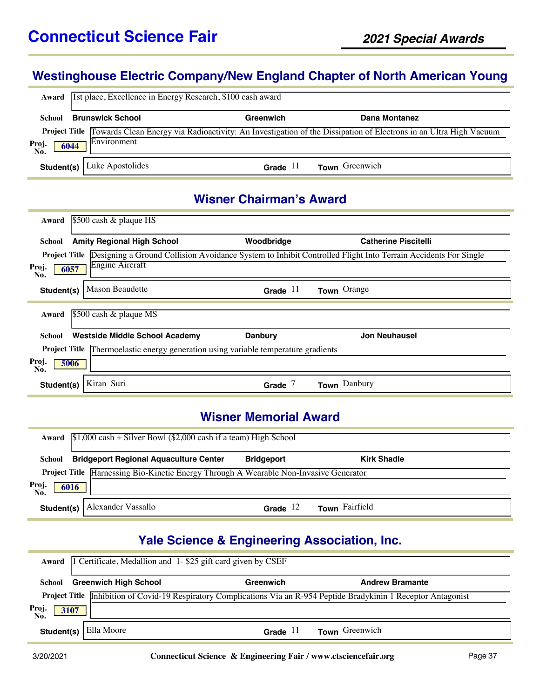### **Westinghouse Electric Company/New England Chapter of North American Young**

| Award                                                                                                                                                                        | 1st place, Excellence in Energy Research, \$100 cash award |                  |                |  |  |
|------------------------------------------------------------------------------------------------------------------------------------------------------------------------------|------------------------------------------------------------|------------------|----------------|--|--|
| <b>School</b>                                                                                                                                                                | <b>Brunswick School</b>                                    | <b>Greenwich</b> | Dana Montanez  |  |  |
| <b>Project Title</b> Towards Clean Energy via Radioactivity: An Investigation of the Dissipation of Electrons in an Ultra High Vacuum<br>Environment<br>Proj.<br>6044<br>No. |                                                            |                  |                |  |  |
|                                                                                                                                                                              | <b>Student(s)</b>   Luke Apostolides                       | -11<br>Grade     | Town Greenwich |  |  |

#### **Wisner Chairman's Award**

| Award                                                                                        | \$500 cash & plaque HS                                                                                                                                              |            |                             |  |  |  |
|----------------------------------------------------------------------------------------------|---------------------------------------------------------------------------------------------------------------------------------------------------------------------|------------|-----------------------------|--|--|--|
| School                                                                                       | <b>Amity Regional High School</b>                                                                                                                                   | Woodbridge | <b>Catherine Piscitelli</b> |  |  |  |
| Proj.<br>No.                                                                                 | <b>Project Title</b> Designing a Ground Collision Avoidance System to Inhibit Controlled Flight Into Terrain Accidents For Single<br><b>Engine Aircraft</b><br>6057 |            |                             |  |  |  |
| Student(s)                                                                                   | <b>Mason Beaudette</b>                                                                                                                                              | Grade $11$ | Town Orange                 |  |  |  |
| Award                                                                                        | $$500$ cash & plaque MS                                                                                                                                             |            |                             |  |  |  |
| School                                                                                       | Westside Middle School Academy                                                                                                                                      | Danbury    | <b>Jon Neuhausel</b>        |  |  |  |
| Thermoelastic energy generation using variable temperature gradients<br><b>Project Title</b> |                                                                                                                                                                     |            |                             |  |  |  |
| Proj.<br>5006<br>No.                                                                         |                                                                                                                                                                     |            |                             |  |  |  |
| Student(s)                                                                                   | Kiran Suri                                                                                                                                                          | Grade      | Town Danbury                |  |  |  |

#### **Wisner Memorial Award**

|                                                                                              | Award $$1,000$ cash + Silver Bowl (\$2,000 cash if a team) High School |                   |                    |  |  |
|----------------------------------------------------------------------------------------------|------------------------------------------------------------------------|-------------------|--------------------|--|--|
| School                                                                                       | <b>Bridgeport Regional Aquaculture Center</b>                          | <b>Bridgeport</b> | <b>Kirk Shadle</b> |  |  |
| <b>Project Title Harnessing Bio-Kinetic Energy Through A Wearable Non-Invasive Generator</b> |                                                                        |                   |                    |  |  |
| Proj.<br>6016<br>No.                                                                         |                                                                        |                   |                    |  |  |
| Student(s)                                                                                   | Alexander Vassallo                                                     | Grade $12$        | Town Fairfield     |  |  |

# **Yale Science & Engineering Association, Inc.**

| Award                | 1 Certificate, Medallion and 1-\$25 gift card given by CSEF |            |                                                                                                                             |  |
|----------------------|-------------------------------------------------------------|------------|-----------------------------------------------------------------------------------------------------------------------------|--|
| School               | <b>Greenwich High School</b>                                | Greenwich  | <b>Andrew Bramante</b>                                                                                                      |  |
|                      |                                                             |            | <b>Project Title</b> Inhibition of Covid-19 Respiratory Complications Via an R-954 Peptide Bradykinin 1 Receptor Antagonist |  |
| Proj.<br>3107<br>Nŏ. |                                                             |            |                                                                                                                             |  |
| Student(s)           | Ella Moore                                                  | Grade $11$ | <b>Town</b> Greenwich                                                                                                       |  |